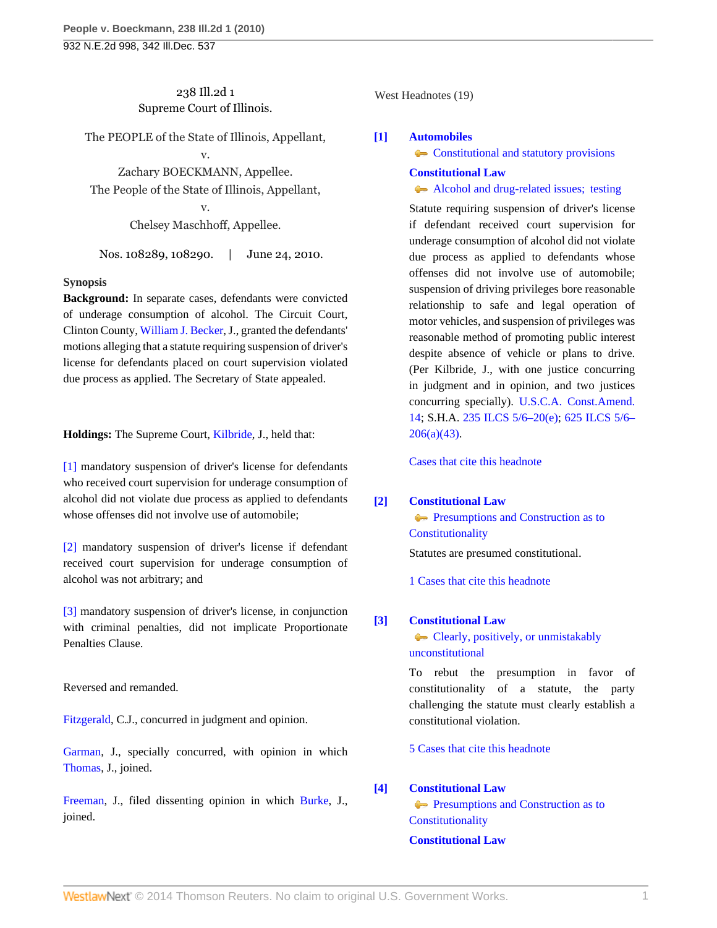# 238 Ill.2d 1 Supreme Court of Illinois.

The PEOPLE of the State of Illinois, Appellant, v.

Zachary BOECKMANN, Appellee. The People of the State of Illinois, Appellant,

> v. Chelsey Maschhoff, Appellee.

Nos. 108289, 108290. | June 24, 2010.

# **Synopsis**

**Background:** In separate cases, defendants were convicted of underage consumption of alcohol. The Circuit Court, Clinton County, [William J. Becker,](http://www.westlaw.com/Link/Document/FullText?findType=h&pubNum=176284&cite=0354974701&originatingDoc=Iced421f97fd311df86c1ad798a0ca1c1&refType=RQ&originationContext=document&vr=3.0&rs=cblt1.0&transitionType=DocumentItem&contextData=(sc.Search)) J., granted the defendants' motions alleging that a statute requiring suspension of driver's license for defendants placed on court supervision violated due process as applied. The Secretary of State appealed.

**Holdings:** The Supreme Court, [Kilbride](http://www.westlaw.com/Link/Document/FullText?findType=h&pubNum=176284&cite=0279165901&originatingDoc=Iced421f97fd311df86c1ad798a0ca1c1&refType=RQ&originationContext=document&vr=3.0&rs=cblt1.0&transitionType=DocumentItem&contextData=(sc.Search)), J., held that:

[\[1\]](#page-0-0) mandatory suspension of driver's license for defendants who received court supervision for underage consumption of alcohol did not violate due process as applied to defendants whose offenses did not involve use of automobile;

[\[2\]](#page-2-0) mandatory suspension of driver's license if defendant received court supervision for underage consumption of alcohol was not arbitrary; and

[\[3\]](#page-2-1) mandatory suspension of driver's license, in conjunction with criminal penalties, did not implicate Proportionate Penalties Clause.

Reversed and remanded.

[Fitzgerald,](http://www.westlaw.com/Link/Document/FullText?findType=h&pubNum=176284&cite=0151941601&originatingDoc=Iced421f97fd311df86c1ad798a0ca1c1&refType=RQ&originationContext=document&vr=3.0&rs=cblt1.0&transitionType=DocumentItem&contextData=(sc.Search)) C.J., concurred in judgment and opinion.

[Garman](http://www.westlaw.com/Link/Document/FullText?findType=h&pubNum=176284&cite=0178022401&originatingDoc=Iced421f97fd311df86c1ad798a0ca1c1&refType=RQ&originationContext=document&vr=3.0&rs=cblt1.0&transitionType=DocumentItem&contextData=(sc.Search)), J., specially concurred, with opinion in which [Thomas](http://www.westlaw.com/Link/Document/FullText?findType=h&pubNum=176284&cite=0125243001&originatingDoc=Iced421f97fd311df86c1ad798a0ca1c1&refType=RQ&originationContext=document&vr=3.0&rs=cblt1.0&transitionType=DocumentItem&contextData=(sc.Search)), J., joined.

[Freeman,](http://www.westlaw.com/Link/Document/FullText?findType=h&pubNum=176284&cite=0233843301&originatingDoc=Iced421f97fd311df86c1ad798a0ca1c1&refType=RQ&originationContext=document&vr=3.0&rs=cblt1.0&transitionType=DocumentItem&contextData=(sc.Search)) J., filed dissenting opinion in which [Burke,](http://www.westlaw.com/Link/Document/FullText?findType=h&pubNum=176284&cite=0163215401&originatingDoc=Iced421f97fd311df86c1ad798a0ca1c1&refType=RQ&originationContext=document&vr=3.0&rs=cblt1.0&transitionType=DocumentItem&contextData=(sc.Search)) J., joined.

West Headnotes (19)

# <span id="page-0-0"></span>**[\[1\]](#page-3-0) [Automobiles](http://www.westlaw.com/Browse/Home/KeyNumber/48A/View.html?docGuid=Iced421f97fd311df86c1ad798a0ca1c1&originationContext=document&vr=3.0&rs=cblt1.0&transitionType=DocumentItem&contextData=(sc.Search))**

[Constitutional and statutory provisions](http://www.westlaw.com/Browse/Home/KeyNumber/48Ak144.1(1.5)/View.html?docGuid=Iced421f97fd311df86c1ad798a0ca1c1&originationContext=document&vr=3.0&rs=cblt1.0&transitionType=DocumentItem&contextData=(sc.Search))

# **[Constitutional Law](http://www.westlaw.com/Browse/Home/KeyNumber/92/View.html?docGuid=Iced421f97fd311df86c1ad798a0ca1c1&originationContext=document&vr=3.0&rs=cblt1.0&transitionType=DocumentItem&contextData=(sc.Search))**

[Alcohol and drug-related issues; testing](http://www.westlaw.com/Browse/Home/KeyNumber/92k4358/View.html?docGuid=Iced421f97fd311df86c1ad798a0ca1c1&originationContext=document&vr=3.0&rs=cblt1.0&transitionType=DocumentItem&contextData=(sc.Search))

Statute requiring suspension of driver's license if defendant received court supervision for underage consumption of alcohol did not violate due process as applied to defendants whose offenses did not involve use of automobile; suspension of driving privileges bore reasonable relationship to safe and legal operation of motor vehicles, and suspension of privileges was reasonable method of promoting public interest despite absence of vehicle or plans to drive. (Per Kilbride, J., with one justice concurring in judgment and in opinion, and two justices concurring specially). [U.S.C.A. Const.Amend.](http://www.westlaw.com/Link/Document/FullText?findType=L&pubNum=1000546&cite=USCOAMENDXIV&originatingDoc=Iced421f97fd311df86c1ad798a0ca1c1&refType=LQ&originationContext=document&vr=3.0&rs=cblt1.0&transitionType=DocumentItem&contextData=(sc.Search)) [14;](http://www.westlaw.com/Link/Document/FullText?findType=L&pubNum=1000546&cite=USCOAMENDXIV&originatingDoc=Iced421f97fd311df86c1ad798a0ca1c1&refType=LQ&originationContext=document&vr=3.0&rs=cblt1.0&transitionType=DocumentItem&contextData=(sc.Search)) S.H.A. [235 ILCS 5/6–20\(e\);](http://www.westlaw.com/Link/Document/FullText?findType=L&pubNum=1000008&cite=ILSTCH235S5%2f6-20&originatingDoc=Iced421f97fd311df86c1ad798a0ca1c1&refType=SP&originationContext=document&vr=3.0&rs=cblt1.0&transitionType=DocumentItem&contextData=(sc.Search)#co_pp_7fdd00001ca15) [625 ILCS 5/6–](http://www.westlaw.com/Link/Document/FullText?findType=L&pubNum=1000008&cite=IL625S5%2f6-206&originatingDoc=Iced421f97fd311df86c1ad798a0ca1c1&refType=SP&originationContext=document&vr=3.0&rs=cblt1.0&transitionType=DocumentItem&contextData=(sc.Search)#co_pp_8b3b0000958a4)  $206(a)(43)$ .

[Cases that cite this headnote](http://www.westlaw.com/Link/RelatedInformation/DocHeadnoteLink?docGuid=Iced421f97fd311df86c1ad798a0ca1c1&headnoteId=202237308900120130207023819&originationContext=document&vr=3.0&rs=cblt1.0&transitionType=CitingReferences&contextData=(sc.Search))

# <span id="page-0-1"></span>**[\[2\]](#page-4-0) [Constitutional Law](http://www.westlaw.com/Browse/Home/KeyNumber/92/View.html?docGuid=Iced421f97fd311df86c1ad798a0ca1c1&originationContext=document&vr=3.0&rs=cblt1.0&transitionType=DocumentItem&contextData=(sc.Search))**

**[Presumptions and Construction as to](http://www.westlaw.com/Browse/Home/KeyNumber/92VI(C)3/View.html?docGuid=Iced421f97fd311df86c1ad798a0ca1c1&originationContext=document&vr=3.0&rs=cblt1.0&transitionType=DocumentItem&contextData=(sc.Search)) [Constitutionality](http://www.westlaw.com/Browse/Home/KeyNumber/92VI(C)3/View.html?docGuid=Iced421f97fd311df86c1ad798a0ca1c1&originationContext=document&vr=3.0&rs=cblt1.0&transitionType=DocumentItem&contextData=(sc.Search))** 

Statutes are presumed constitutional.

[1 Cases that cite this headnote](http://www.westlaw.com/Link/RelatedInformation/DocHeadnoteLink?docGuid=Iced421f97fd311df86c1ad798a0ca1c1&headnoteId=202237308900220130207023819&originationContext=document&vr=3.0&rs=cblt1.0&transitionType=CitingReferences&contextData=(sc.Search))

# <span id="page-0-2"></span>**[\[3\]](#page-4-1) [Constitutional Law](http://www.westlaw.com/Browse/Home/KeyNumber/92/View.html?docGuid=Iced421f97fd311df86c1ad798a0ca1c1&originationContext=document&vr=3.0&rs=cblt1.0&transitionType=DocumentItem&contextData=(sc.Search))**

[Clearly, positively, or unmistakably](http://www.westlaw.com/Browse/Home/KeyNumber/92k996/View.html?docGuid=Iced421f97fd311df86c1ad798a0ca1c1&originationContext=document&vr=3.0&rs=cblt1.0&transitionType=DocumentItem&contextData=(sc.Search)) [unconstitutional](http://www.westlaw.com/Browse/Home/KeyNumber/92k996/View.html?docGuid=Iced421f97fd311df86c1ad798a0ca1c1&originationContext=document&vr=3.0&rs=cblt1.0&transitionType=DocumentItem&contextData=(sc.Search))

To rebut the presumption in favor of constitutionality of a statute, the party challenging the statute must clearly establish a constitutional violation.

[5 Cases that cite this headnote](http://www.westlaw.com/Link/RelatedInformation/DocHeadnoteLink?docGuid=Iced421f97fd311df86c1ad798a0ca1c1&headnoteId=202237308900320130207023819&originationContext=document&vr=3.0&rs=cblt1.0&transitionType=CitingReferences&contextData=(sc.Search))

# <span id="page-0-3"></span>**[\[4\]](#page-4-2) [Constitutional Law](http://www.westlaw.com/Browse/Home/KeyNumber/92/View.html?docGuid=Iced421f97fd311df86c1ad798a0ca1c1&originationContext=document&vr=3.0&rs=cblt1.0&transitionType=DocumentItem&contextData=(sc.Search))**

**[Presumptions and Construction as to](http://www.westlaw.com/Browse/Home/KeyNumber/92VI(C)3/View.html?docGuid=Iced421f97fd311df86c1ad798a0ca1c1&originationContext=document&vr=3.0&rs=cblt1.0&transitionType=DocumentItem&contextData=(sc.Search)) [Constitutionality](http://www.westlaw.com/Browse/Home/KeyNumber/92VI(C)3/View.html?docGuid=Iced421f97fd311df86c1ad798a0ca1c1&originationContext=document&vr=3.0&rs=cblt1.0&transitionType=DocumentItem&contextData=(sc.Search)) [Constitutional Law](http://www.westlaw.com/Browse/Home/KeyNumber/92/View.html?docGuid=Iced421f97fd311df86c1ad798a0ca1c1&originationContext=document&vr=3.0&rs=cblt1.0&transitionType=DocumentItem&contextData=(sc.Search))**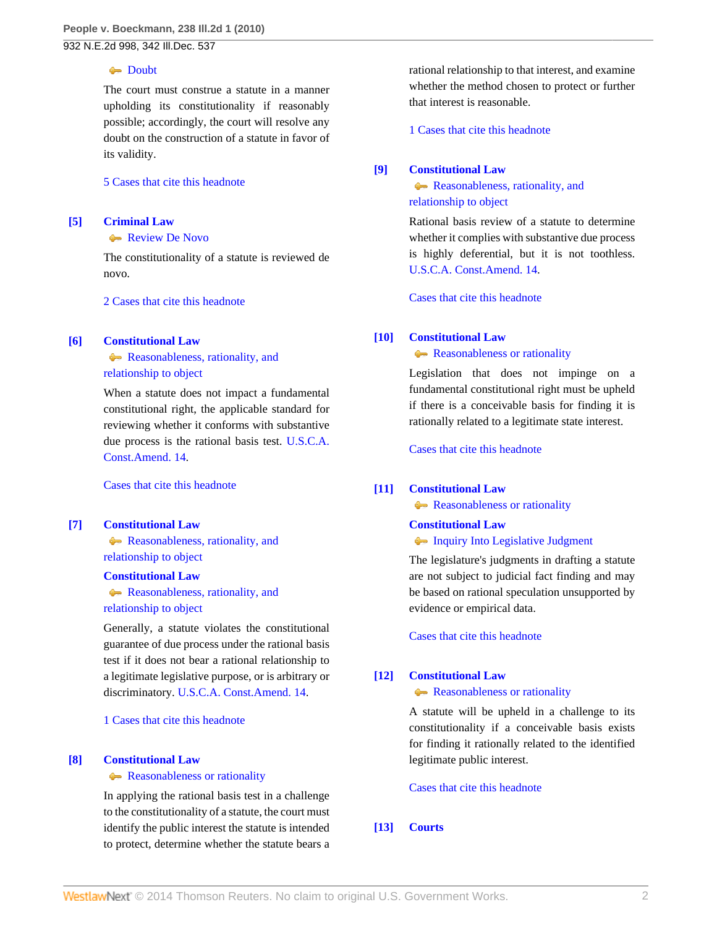## **[Doubt](http://www.westlaw.com/Browse/Home/KeyNumber/92k1001/View.html?docGuid=Iced421f97fd311df86c1ad798a0ca1c1&originationContext=document&vr=3.0&rs=cblt1.0&transitionType=DocumentItem&contextData=(sc.Search))**

The court must construe a statute in a manner upholding its constitutionality if reasonably possible; accordingly, the court will resolve any doubt on the construction of a statute in favor of its validity.

#### [5 Cases that cite this headnote](http://www.westlaw.com/Link/RelatedInformation/DocHeadnoteLink?docGuid=Iced421f97fd311df86c1ad798a0ca1c1&headnoteId=202237308900420130207023819&originationContext=document&vr=3.0&rs=cblt1.0&transitionType=CitingReferences&contextData=(sc.Search))

# <span id="page-1-0"></span>**[\[5\]](#page-4-3) [Criminal Law](http://www.westlaw.com/Browse/Home/KeyNumber/110/View.html?docGuid=Iced421f97fd311df86c1ad798a0ca1c1&originationContext=document&vr=3.0&rs=cblt1.0&transitionType=DocumentItem&contextData=(sc.Search))**

**[Review De Novo](http://www.westlaw.com/Browse/Home/KeyNumber/110XXIV(L)13/View.html?docGuid=Iced421f97fd311df86c1ad798a0ca1c1&originationContext=document&vr=3.0&rs=cblt1.0&transitionType=DocumentItem&contextData=(sc.Search))** 

The constitutionality of a statute is reviewed de novo.

[2 Cases that cite this headnote](http://www.westlaw.com/Link/RelatedInformation/DocHeadnoteLink?docGuid=Iced421f97fd311df86c1ad798a0ca1c1&headnoteId=202237308900520130207023819&originationContext=document&vr=3.0&rs=cblt1.0&transitionType=CitingReferences&contextData=(sc.Search))

## <span id="page-1-1"></span>**[\[6\]](#page-4-4) [Constitutional Law](http://www.westlaw.com/Browse/Home/KeyNumber/92/View.html?docGuid=Iced421f97fd311df86c1ad798a0ca1c1&originationContext=document&vr=3.0&rs=cblt1.0&transitionType=DocumentItem&contextData=(sc.Search))**

**[Reasonableness, rationality, and](http://www.westlaw.com/Browse/Home/KeyNumber/92k3895/View.html?docGuid=Iced421f97fd311df86c1ad798a0ca1c1&originationContext=document&vr=3.0&rs=cblt1.0&transitionType=DocumentItem&contextData=(sc.Search))** [relationship to object](http://www.westlaw.com/Browse/Home/KeyNumber/92k3895/View.html?docGuid=Iced421f97fd311df86c1ad798a0ca1c1&originationContext=document&vr=3.0&rs=cblt1.0&transitionType=DocumentItem&contextData=(sc.Search))

When a statute does not impact a fundamental constitutional right, the applicable standard for reviewing whether it conforms with substantive due process is the rational basis test. [U.S.C.A.](http://www.westlaw.com/Link/Document/FullText?findType=L&pubNum=1000546&cite=USCOAMENDXIV&originatingDoc=Iced421f97fd311df86c1ad798a0ca1c1&refType=LQ&originationContext=document&vr=3.0&rs=cblt1.0&transitionType=DocumentItem&contextData=(sc.Search)) [Const.Amend. 14.](http://www.westlaw.com/Link/Document/FullText?findType=L&pubNum=1000546&cite=USCOAMENDXIV&originatingDoc=Iced421f97fd311df86c1ad798a0ca1c1&refType=LQ&originationContext=document&vr=3.0&rs=cblt1.0&transitionType=DocumentItem&contextData=(sc.Search))

[Cases that cite this headnote](http://www.westlaw.com/Link/RelatedInformation/DocHeadnoteLink?docGuid=Iced421f97fd311df86c1ad798a0ca1c1&headnoteId=202237308900620130207023819&originationContext=document&vr=3.0&rs=cblt1.0&transitionType=CitingReferences&contextData=(sc.Search))

# <span id="page-1-2"></span>**[\[7\]](#page-4-5) [Constitutional Law](http://www.westlaw.com/Browse/Home/KeyNumber/92/View.html?docGuid=Iced421f97fd311df86c1ad798a0ca1c1&originationContext=document&vr=3.0&rs=cblt1.0&transitionType=DocumentItem&contextData=(sc.Search))**

**Reasonableness**, rationality, and [relationship to object](http://www.westlaw.com/Browse/Home/KeyNumber/92k3877/View.html?docGuid=Iced421f97fd311df86c1ad798a0ca1c1&originationContext=document&vr=3.0&rs=cblt1.0&transitionType=DocumentItem&contextData=(sc.Search))

## **[Constitutional Law](http://www.westlaw.com/Browse/Home/KeyNumber/92/View.html?docGuid=Iced421f97fd311df86c1ad798a0ca1c1&originationContext=document&vr=3.0&rs=cblt1.0&transitionType=DocumentItem&contextData=(sc.Search))**

**Reasonableness**, rationality, and [relationship to object](http://www.westlaw.com/Browse/Home/KeyNumber/92k3900/View.html?docGuid=Iced421f97fd311df86c1ad798a0ca1c1&originationContext=document&vr=3.0&rs=cblt1.0&transitionType=DocumentItem&contextData=(sc.Search))

Generally, a statute violates the constitutional guarantee of due process under the rational basis test if it does not bear a rational relationship to a legitimate legislative purpose, or is arbitrary or discriminatory. [U.S.C.A. Const.Amend. 14](http://www.westlaw.com/Link/Document/FullText?findType=L&pubNum=1000546&cite=USCOAMENDXIV&originatingDoc=Iced421f97fd311df86c1ad798a0ca1c1&refType=LQ&originationContext=document&vr=3.0&rs=cblt1.0&transitionType=DocumentItem&contextData=(sc.Search)).

[1 Cases that cite this headnote](http://www.westlaw.com/Link/RelatedInformation/DocHeadnoteLink?docGuid=Iced421f97fd311df86c1ad798a0ca1c1&headnoteId=202237308900720130207023819&originationContext=document&vr=3.0&rs=cblt1.0&transitionType=CitingReferences&contextData=(sc.Search))

## <span id="page-1-3"></span>**[\[8\]](#page-4-6) [Constitutional Law](http://www.westlaw.com/Browse/Home/KeyNumber/92/View.html?docGuid=Iced421f97fd311df86c1ad798a0ca1c1&originationContext=document&vr=3.0&rs=cblt1.0&transitionType=DocumentItem&contextData=(sc.Search))**

## **[Reasonableness or rationality](http://www.westlaw.com/Browse/Home/KeyNumber/92k1055/View.html?docGuid=Iced421f97fd311df86c1ad798a0ca1c1&originationContext=document&vr=3.0&rs=cblt1.0&transitionType=DocumentItem&contextData=(sc.Search))**

In applying the rational basis test in a challenge to the constitutionality of a statute, the court must identify the public interest the statute is intended to protect, determine whether the statute bears a rational relationship to that interest, and examine whether the method chosen to protect or further that interest is reasonable.

[1 Cases that cite this headnote](http://www.westlaw.com/Link/RelatedInformation/DocHeadnoteLink?docGuid=Iced421f97fd311df86c1ad798a0ca1c1&headnoteId=202237308900820130207023819&originationContext=document&vr=3.0&rs=cblt1.0&transitionType=CitingReferences&contextData=(sc.Search))

# <span id="page-1-4"></span>**[\[9\]](#page-4-7) [Constitutional Law](http://www.westlaw.com/Browse/Home/KeyNumber/92/View.html?docGuid=Iced421f97fd311df86c1ad798a0ca1c1&originationContext=document&vr=3.0&rs=cblt1.0&transitionType=DocumentItem&contextData=(sc.Search))**

**Reasonableness**, rationality, and [relationship to object](http://www.westlaw.com/Browse/Home/KeyNumber/92k3895/View.html?docGuid=Iced421f97fd311df86c1ad798a0ca1c1&originationContext=document&vr=3.0&rs=cblt1.0&transitionType=DocumentItem&contextData=(sc.Search))

Rational basis review of a statute to determine whether it complies with substantive due process is highly deferential, but it is not toothless. [U.S.C.A. Const.Amend. 14.](http://www.westlaw.com/Link/Document/FullText?findType=L&pubNum=1000546&cite=USCOAMENDXIV&originatingDoc=Iced421f97fd311df86c1ad798a0ca1c1&refType=LQ&originationContext=document&vr=3.0&rs=cblt1.0&transitionType=DocumentItem&contextData=(sc.Search))

[Cases that cite this headnote](http://www.westlaw.com/Link/RelatedInformation/DocHeadnoteLink?docGuid=Iced421f97fd311df86c1ad798a0ca1c1&headnoteId=202237308900920130207023819&originationContext=document&vr=3.0&rs=cblt1.0&transitionType=CitingReferences&contextData=(sc.Search))

# <span id="page-1-5"></span>**[\[10\]](#page-4-8) [Constitutional Law](http://www.westlaw.com/Browse/Home/KeyNumber/92/View.html?docGuid=Iced421f97fd311df86c1ad798a0ca1c1&originationContext=document&vr=3.0&rs=cblt1.0&transitionType=DocumentItem&contextData=(sc.Search))**

# **[Reasonableness or rationality](http://www.westlaw.com/Browse/Home/KeyNumber/92k1055/View.html?docGuid=Iced421f97fd311df86c1ad798a0ca1c1&originationContext=document&vr=3.0&rs=cblt1.0&transitionType=DocumentItem&contextData=(sc.Search))**

Legislation that does not impinge on a fundamental constitutional right must be upheld if there is a conceivable basis for finding it is rationally related to a legitimate state interest.

[Cases that cite this headnote](http://www.westlaw.com/Link/RelatedInformation/DocHeadnoteLink?docGuid=Iced421f97fd311df86c1ad798a0ca1c1&headnoteId=202237308901020130207023819&originationContext=document&vr=3.0&rs=cblt1.0&transitionType=CitingReferences&contextData=(sc.Search))

# <span id="page-1-6"></span>**[\[11\]](#page-4-9) [Constitutional Law](http://www.westlaw.com/Browse/Home/KeyNumber/92/View.html?docGuid=Iced421f97fd311df86c1ad798a0ca1c1&originationContext=document&vr=3.0&rs=cblt1.0&transitionType=DocumentItem&contextData=(sc.Search))**

**[Reasonableness or rationality](http://www.westlaw.com/Browse/Home/KeyNumber/92k1055/View.html?docGuid=Iced421f97fd311df86c1ad798a0ca1c1&originationContext=document&vr=3.0&rs=cblt1.0&transitionType=DocumentItem&contextData=(sc.Search))** 

# **[Constitutional Law](http://www.westlaw.com/Browse/Home/KeyNumber/92/View.html?docGuid=Iced421f97fd311df86c1ad798a0ca1c1&originationContext=document&vr=3.0&rs=cblt1.0&transitionType=DocumentItem&contextData=(sc.Search))**

# **[Inquiry Into Legislative Judgment](http://www.westlaw.com/Browse/Home/KeyNumber/92k2485/View.html?docGuid=Iced421f97fd311df86c1ad798a0ca1c1&originationContext=document&vr=3.0&rs=cblt1.0&transitionType=DocumentItem&contextData=(sc.Search))**

The legislature's judgments in drafting a statute are not subject to judicial fact finding and may be based on rational speculation unsupported by evidence or empirical data.

[Cases that cite this headnote](http://www.westlaw.com/Link/RelatedInformation/DocHeadnoteLink?docGuid=Iced421f97fd311df86c1ad798a0ca1c1&headnoteId=202237308901120130207023819&originationContext=document&vr=3.0&rs=cblt1.0&transitionType=CitingReferences&contextData=(sc.Search))

# <span id="page-1-7"></span>**[\[12\]](#page-4-10) [Constitutional Law](http://www.westlaw.com/Browse/Home/KeyNumber/92/View.html?docGuid=Iced421f97fd311df86c1ad798a0ca1c1&originationContext=document&vr=3.0&rs=cblt1.0&transitionType=DocumentItem&contextData=(sc.Search))**

## **[Reasonableness or rationality](http://www.westlaw.com/Browse/Home/KeyNumber/92k1055/View.html?docGuid=Iced421f97fd311df86c1ad798a0ca1c1&originationContext=document&vr=3.0&rs=cblt1.0&transitionType=DocumentItem&contextData=(sc.Search))**

A statute will be upheld in a challenge to its constitutionality if a conceivable basis exists for finding it rationally related to the identified legitimate public interest.

# [Cases that cite this headnote](http://www.westlaw.com/Link/RelatedInformation/DocHeadnoteLink?docGuid=Iced421f97fd311df86c1ad798a0ca1c1&headnoteId=202237308901220130207023819&originationContext=document&vr=3.0&rs=cblt1.0&transitionType=CitingReferences&contextData=(sc.Search))

# <span id="page-1-8"></span>**[\[13\]](#page-6-0) [Courts](http://www.westlaw.com/Browse/Home/KeyNumber/106/View.html?docGuid=Iced421f97fd311df86c1ad798a0ca1c1&originationContext=document&vr=3.0&rs=cblt1.0&transitionType=DocumentItem&contextData=(sc.Search))**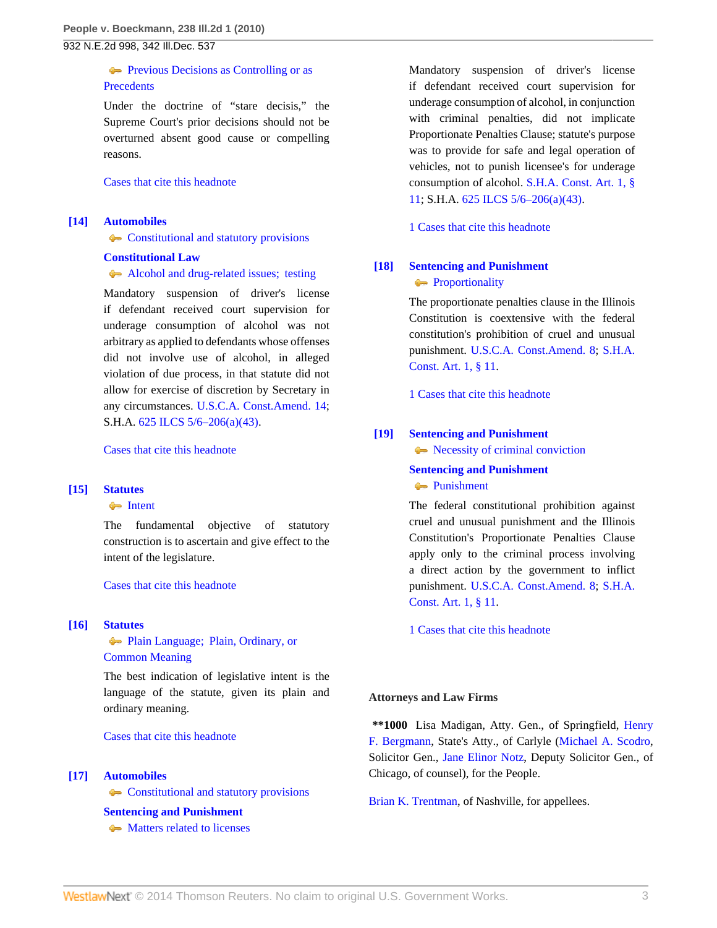# **[Previous Decisions as Controlling or as](http://www.westlaw.com/Browse/Home/KeyNumber/106k88/View.html?docGuid=Iced421f97fd311df86c1ad798a0ca1c1&originationContext=document&vr=3.0&rs=cblt1.0&transitionType=DocumentItem&contextData=(sc.Search)) [Precedents](http://www.westlaw.com/Browse/Home/KeyNumber/106k88/View.html?docGuid=Iced421f97fd311df86c1ad798a0ca1c1&originationContext=document&vr=3.0&rs=cblt1.0&transitionType=DocumentItem&contextData=(sc.Search))**

Under the doctrine of "stare decisis," the Supreme Court's prior decisions should not be overturned absent good cause or compelling reasons.

[Cases that cite this headnote](http://www.westlaw.com/Link/RelatedInformation/DocHeadnoteLink?docGuid=Iced421f97fd311df86c1ad798a0ca1c1&headnoteId=202237308901320130207023819&originationContext=document&vr=3.0&rs=cblt1.0&transitionType=CitingReferences&contextData=(sc.Search))

## <span id="page-2-0"></span>**[\[14\]](#page-6-1) [Automobiles](http://www.westlaw.com/Browse/Home/KeyNumber/48A/View.html?docGuid=Iced421f97fd311df86c1ad798a0ca1c1&originationContext=document&vr=3.0&rs=cblt1.0&transitionType=DocumentItem&contextData=(sc.Search))**

**[Constitutional and statutory provisions](http://www.westlaw.com/Browse/Home/KeyNumber/48Ak144.1(1.5)/View.html?docGuid=Iced421f97fd311df86c1ad798a0ca1c1&originationContext=document&vr=3.0&rs=cblt1.0&transitionType=DocumentItem&contextData=(sc.Search))** 

## **[Constitutional Law](http://www.westlaw.com/Browse/Home/KeyNumber/92/View.html?docGuid=Iced421f97fd311df86c1ad798a0ca1c1&originationContext=document&vr=3.0&rs=cblt1.0&transitionType=DocumentItem&contextData=(sc.Search))**

[Alcohol and drug-related issues; testing](http://www.westlaw.com/Browse/Home/KeyNumber/92k4358/View.html?docGuid=Iced421f97fd311df86c1ad798a0ca1c1&originationContext=document&vr=3.0&rs=cblt1.0&transitionType=DocumentItem&contextData=(sc.Search))

Mandatory suspension of driver's license if defendant received court supervision for underage consumption of alcohol was not arbitrary as applied to defendants whose offenses did not involve use of alcohol, in alleged violation of due process, in that statute did not allow for exercise of discretion by Secretary in any circumstances. [U.S.C.A. Const.Amend. 14;](http://www.westlaw.com/Link/Document/FullText?findType=L&pubNum=1000546&cite=USCOAMENDXIV&originatingDoc=Iced421f97fd311df86c1ad798a0ca1c1&refType=LQ&originationContext=document&vr=3.0&rs=cblt1.0&transitionType=DocumentItem&contextData=(sc.Search)) S.H.A. [625 ILCS 5/6–206\(a\)\(43\).](http://www.westlaw.com/Link/Document/FullText?findType=L&pubNum=1000008&cite=IL625S5%2f6-206&originatingDoc=Iced421f97fd311df86c1ad798a0ca1c1&refType=SP&originationContext=document&vr=3.0&rs=cblt1.0&transitionType=DocumentItem&contextData=(sc.Search)#co_pp_8b3b0000958a4)

[Cases that cite this headnote](http://www.westlaw.com/Link/RelatedInformation/DocHeadnoteLink?docGuid=Iced421f97fd311df86c1ad798a0ca1c1&headnoteId=202237308901420130207023819&originationContext=document&vr=3.0&rs=cblt1.0&transitionType=CitingReferences&contextData=(sc.Search))

## <span id="page-2-2"></span>**[\[15\]](#page-7-0) [Statutes](http://www.westlaw.com/Browse/Home/KeyNumber/361/View.html?docGuid=Iced421f97fd311df86c1ad798a0ca1c1&originationContext=document&vr=3.0&rs=cblt1.0&transitionType=DocumentItem&contextData=(sc.Search))**

## **[Intent](http://www.westlaw.com/Browse/Home/KeyNumber/361k1071/View.html?docGuid=Iced421f97fd311df86c1ad798a0ca1c1&originationContext=document&vr=3.0&rs=cblt1.0&transitionType=DocumentItem&contextData=(sc.Search))**

The fundamental objective of statutory construction is to ascertain and give effect to the intent of the legislature.

[Cases that cite this headnote](http://www.westlaw.com/Link/RelatedInformation/DocHeadnoteLink?docGuid=Iced421f97fd311df86c1ad798a0ca1c1&headnoteId=202237308901520130207023819&originationContext=document&vr=3.0&rs=cblt1.0&transitionType=CitingReferences&contextData=(sc.Search))

#### <span id="page-2-3"></span>**[\[16\]](#page-7-1) [Statutes](http://www.westlaw.com/Browse/Home/KeyNumber/361/View.html?docGuid=Iced421f97fd311df86c1ad798a0ca1c1&originationContext=document&vr=3.0&rs=cblt1.0&transitionType=DocumentItem&contextData=(sc.Search))**

[Plain Language; Plain, Ordinary, or](http://www.westlaw.com/Browse/Home/KeyNumber/361III(B)/View.html?docGuid=Iced421f97fd311df86c1ad798a0ca1c1&originationContext=document&vr=3.0&rs=cblt1.0&transitionType=DocumentItem&contextData=(sc.Search)) [Common Meaning](http://www.westlaw.com/Browse/Home/KeyNumber/361III(B)/View.html?docGuid=Iced421f97fd311df86c1ad798a0ca1c1&originationContext=document&vr=3.0&rs=cblt1.0&transitionType=DocumentItem&contextData=(sc.Search))

The best indication of legislative intent is the language of the statute, given its plain and ordinary meaning.

[Cases that cite this headnote](http://www.westlaw.com/Link/RelatedInformation/DocHeadnoteLink?docGuid=Iced421f97fd311df86c1ad798a0ca1c1&headnoteId=202237308901620130207023819&originationContext=document&vr=3.0&rs=cblt1.0&transitionType=CitingReferences&contextData=(sc.Search))

#### <span id="page-2-1"></span>**[\[17\]](#page-8-0) [Automobiles](http://www.westlaw.com/Browse/Home/KeyNumber/48A/View.html?docGuid=Iced421f97fd311df86c1ad798a0ca1c1&originationContext=document&vr=3.0&rs=cblt1.0&transitionType=DocumentItem&contextData=(sc.Search))**

**[Constitutional and statutory provisions](http://www.westlaw.com/Browse/Home/KeyNumber/48Ak144.1(1.5)/View.html?docGuid=Iced421f97fd311df86c1ad798a0ca1c1&originationContext=document&vr=3.0&rs=cblt1.0&transitionType=DocumentItem&contextData=(sc.Search))** 

## **[Sentencing and Punishment](http://www.westlaw.com/Browse/Home/KeyNumber/350H/View.html?docGuid=Iced421f97fd311df86c1ad798a0ca1c1&originationContext=document&vr=3.0&rs=cblt1.0&transitionType=DocumentItem&contextData=(sc.Search))**

• [Matters related to licenses](http://www.westlaw.com/Browse/Home/KeyNumber/350Hk1585/View.html?docGuid=Iced421f97fd311df86c1ad798a0ca1c1&originationContext=document&vr=3.0&rs=cblt1.0&transitionType=DocumentItem&contextData=(sc.Search))

Mandatory suspension of driver's license if defendant received court supervision for underage consumption of alcohol, in conjunction with criminal penalties, did not implicate Proportionate Penalties Clause; statute's purpose was to provide for safe and legal operation of vehicles, not to punish licensee's for underage consumption of alcohol. [S.H.A. Const. Art. 1, §](http://www.westlaw.com/Link/Document/FullText?findType=L&pubNum=1000008&cite=ILCNART1S11&originatingDoc=Iced421f97fd311df86c1ad798a0ca1c1&refType=LQ&originationContext=document&vr=3.0&rs=cblt1.0&transitionType=DocumentItem&contextData=(sc.Search)) [11;](http://www.westlaw.com/Link/Document/FullText?findType=L&pubNum=1000008&cite=ILCNART1S11&originatingDoc=Iced421f97fd311df86c1ad798a0ca1c1&refType=LQ&originationContext=document&vr=3.0&rs=cblt1.0&transitionType=DocumentItem&contextData=(sc.Search)) S.H.A. [625 ILCS 5/6–206\(a\)\(43\).](http://www.westlaw.com/Link/Document/FullText?findType=L&pubNum=1000008&cite=IL625S5%2f6-206&originatingDoc=Iced421f97fd311df86c1ad798a0ca1c1&refType=SP&originationContext=document&vr=3.0&rs=cblt1.0&transitionType=DocumentItem&contextData=(sc.Search)#co_pp_8b3b0000958a4)

[1 Cases that cite this headnote](http://www.westlaw.com/Link/RelatedInformation/DocHeadnoteLink?docGuid=Iced421f97fd311df86c1ad798a0ca1c1&headnoteId=202237308901720130207023819&originationContext=document&vr=3.0&rs=cblt1.0&transitionType=CitingReferences&contextData=(sc.Search))

# <span id="page-2-4"></span>**[\[18\]](#page-8-1) [Sentencing and Punishment](http://www.westlaw.com/Browse/Home/KeyNumber/350H/View.html?docGuid=Iced421f97fd311df86c1ad798a0ca1c1&originationContext=document&vr=3.0&rs=cblt1.0&transitionType=DocumentItem&contextData=(sc.Search))**

# **[Proportionality](http://www.westlaw.com/Browse/Home/KeyNumber/350Hk1482/View.html?docGuid=Iced421f97fd311df86c1ad798a0ca1c1&originationContext=document&vr=3.0&rs=cblt1.0&transitionType=DocumentItem&contextData=(sc.Search))**

The proportionate penalties clause in the Illinois Constitution is coextensive with the federal constitution's prohibition of cruel and unusual punishment. [U.S.C.A. Const.Amend. 8;](http://www.westlaw.com/Link/Document/FullText?findType=L&pubNum=1000546&cite=USCOAMENDVIII&originatingDoc=Iced421f97fd311df86c1ad798a0ca1c1&refType=LQ&originationContext=document&vr=3.0&rs=cblt1.0&transitionType=DocumentItem&contextData=(sc.Search)) [S.H.A.](http://www.westlaw.com/Link/Document/FullText?findType=L&pubNum=1000008&cite=ILCNART1S11&originatingDoc=Iced421f97fd311df86c1ad798a0ca1c1&refType=LQ&originationContext=document&vr=3.0&rs=cblt1.0&transitionType=DocumentItem&contextData=(sc.Search)) [Const. Art. 1, § 11.](http://www.westlaw.com/Link/Document/FullText?findType=L&pubNum=1000008&cite=ILCNART1S11&originatingDoc=Iced421f97fd311df86c1ad798a0ca1c1&refType=LQ&originationContext=document&vr=3.0&rs=cblt1.0&transitionType=DocumentItem&contextData=(sc.Search))

[1 Cases that cite this headnote](http://www.westlaw.com/Link/RelatedInformation/DocHeadnoteLink?docGuid=Iced421f97fd311df86c1ad798a0ca1c1&headnoteId=202237308901820130207023819&originationContext=document&vr=3.0&rs=cblt1.0&transitionType=CitingReferences&contextData=(sc.Search))

# <span id="page-2-5"></span>**[\[19\]](#page-8-2) [Sentencing and Punishment](http://www.westlaw.com/Browse/Home/KeyNumber/350H/View.html?docGuid=Iced421f97fd311df86c1ad798a0ca1c1&originationContext=document&vr=3.0&rs=cblt1.0&transitionType=DocumentItem&contextData=(sc.Search))**

[Necessity of criminal conviction](http://www.westlaw.com/Browse/Home/KeyNumber/350Hk1433/View.html?docGuid=Iced421f97fd311df86c1ad798a0ca1c1&originationContext=document&vr=3.0&rs=cblt1.0&transitionType=DocumentItem&contextData=(sc.Search))

**[Sentencing and Punishment](http://www.westlaw.com/Browse/Home/KeyNumber/350H/View.html?docGuid=Iced421f97fd311df86c1ad798a0ca1c1&originationContext=document&vr=3.0&rs=cblt1.0&transitionType=DocumentItem&contextData=(sc.Search)) [Punishment](http://www.westlaw.com/Browse/Home/KeyNumber/350Hk1436/View.html?docGuid=Iced421f97fd311df86c1ad798a0ca1c1&originationContext=document&vr=3.0&rs=cblt1.0&transitionType=DocumentItem&contextData=(sc.Search))** 

The federal constitutional prohibition against cruel and unusual punishment and the Illinois Constitution's Proportionate Penalties Clause apply only to the criminal process involving a direct action by the government to inflict punishment. [U.S.C.A. Const.Amend. 8;](http://www.westlaw.com/Link/Document/FullText?findType=L&pubNum=1000546&cite=USCOAMENDVIII&originatingDoc=Iced421f97fd311df86c1ad798a0ca1c1&refType=LQ&originationContext=document&vr=3.0&rs=cblt1.0&transitionType=DocumentItem&contextData=(sc.Search)) [S.H.A.](http://www.westlaw.com/Link/Document/FullText?findType=L&pubNum=1000008&cite=ILCNART1S11&originatingDoc=Iced421f97fd311df86c1ad798a0ca1c1&refType=LQ&originationContext=document&vr=3.0&rs=cblt1.0&transitionType=DocumentItem&contextData=(sc.Search)) [Const. Art. 1, § 11.](http://www.westlaw.com/Link/Document/FullText?findType=L&pubNum=1000008&cite=ILCNART1S11&originatingDoc=Iced421f97fd311df86c1ad798a0ca1c1&refType=LQ&originationContext=document&vr=3.0&rs=cblt1.0&transitionType=DocumentItem&contextData=(sc.Search))

[1 Cases that cite this headnote](http://www.westlaw.com/Link/RelatedInformation/DocHeadnoteLink?docGuid=Iced421f97fd311df86c1ad798a0ca1c1&headnoteId=202237308901920130207023819&originationContext=document&vr=3.0&rs=cblt1.0&transitionType=CitingReferences&contextData=(sc.Search))

#### **Attorneys and Law Firms**

**\*\*1000** Lisa Madigan, Atty. Gen., of Springfield, [Henry](http://www.westlaw.com/Link/Document/FullText?findType=h&pubNum=176284&cite=0287694201&originatingDoc=Iced421f97fd311df86c1ad798a0ca1c1&refType=RQ&originationContext=document&vr=3.0&rs=cblt1.0&transitionType=DocumentItem&contextData=(sc.Search)) [F. Bergmann](http://www.westlaw.com/Link/Document/FullText?findType=h&pubNum=176284&cite=0287694201&originatingDoc=Iced421f97fd311df86c1ad798a0ca1c1&refType=RQ&originationContext=document&vr=3.0&rs=cblt1.0&transitionType=DocumentItem&contextData=(sc.Search)), State's Atty., of Carlyle ([Michael A. Scodro](http://www.westlaw.com/Link/Document/FullText?findType=h&pubNum=176284&cite=0253594001&originatingDoc=Iced421f97fd311df86c1ad798a0ca1c1&refType=RQ&originationContext=document&vr=3.0&rs=cblt1.0&transitionType=DocumentItem&contextData=(sc.Search)), Solicitor Gen., [Jane Elinor Notz](http://www.westlaw.com/Link/Document/FullText?findType=h&pubNum=176284&cite=0463881601&originatingDoc=Iced421f97fd311df86c1ad798a0ca1c1&refType=RQ&originationContext=document&vr=3.0&rs=cblt1.0&transitionType=DocumentItem&contextData=(sc.Search)), Deputy Solicitor Gen., of Chicago, of counsel), for the People.

[Brian K. Trentman,](http://www.westlaw.com/Link/Document/FullText?findType=h&pubNum=176284&cite=0276199001&originatingDoc=Iced421f97fd311df86c1ad798a0ca1c1&refType=RQ&originationContext=document&vr=3.0&rs=cblt1.0&transitionType=DocumentItem&contextData=(sc.Search)) of Nashville, for appellees.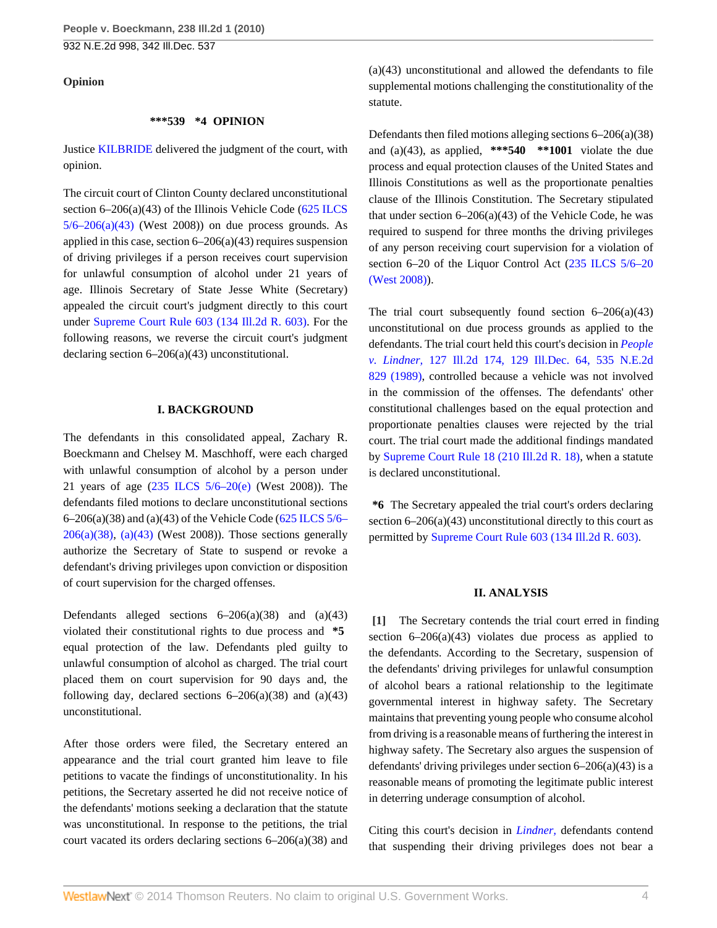#### **Opinion**

#### **\*\*\*539 \*4 OPINION**

Justice [KILBRIDE](http://www.westlaw.com/Link/Document/FullText?findType=h&pubNum=176284&cite=0279165901&originatingDoc=Iced421f97fd311df86c1ad798a0ca1c1&refType=RQ&originationContext=document&vr=3.0&rs=cblt1.0&transitionType=DocumentItem&contextData=(sc.Search)) delivered the judgment of the court, with opinion.

The circuit court of Clinton County declared unconstitutional section 6–206(a)(43) of the Illinois Vehicle Code ([625 ILCS](http://www.westlaw.com/Link/Document/FullText?findType=L&pubNum=1000008&cite=IL625S5%2f6-206&originatingDoc=Iced421f97fd311df86c1ad798a0ca1c1&refType=SP&originationContext=document&vr=3.0&rs=cblt1.0&transitionType=DocumentItem&contextData=(sc.Search)#co_pp_8b3b0000958a4)  $5/6-206(a)(43)$  (West 2008)) on due process grounds. As applied in this case, section  $6-206(a)(43)$  requires suspension of driving privileges if a person receives court supervision for unlawful consumption of alcohol under 21 years of age. Illinois Secretary of State Jesse White (Secretary) appealed the circuit court's judgment directly to this court under [Supreme Court Rule 603 \(134 Ill.2d R. 603\).](http://www.westlaw.com/Link/Document/FullText?findType=L&pubNum=1000008&cite=ILSTSCTR603&originatingDoc=Iced421f97fd311df86c1ad798a0ca1c1&refType=LQ&originationContext=document&vr=3.0&rs=cblt1.0&transitionType=DocumentItem&contextData=(sc.Search)) For the following reasons, we reverse the circuit court's judgment declaring section 6–206(a)(43) unconstitutional.

## **I. BACKGROUND**

The defendants in this consolidated appeal, Zachary R. Boeckmann and Chelsey M. Maschhoff, were each charged with unlawful consumption of alcohol by a person under 21 years of age  $(235$  ILCS  $5/6-20$ (e) (West 2008)). The defendants filed motions to declare unconstitutional sections 6–206(a)(38) and (a)(43) of the Vehicle Code ([625 ILCS 5/6–](http://www.westlaw.com/Link/Document/FullText?findType=L&pubNum=1000008&cite=IL625S5%2f6-206&originatingDoc=Iced421f97fd311df86c1ad798a0ca1c1&refType=SP&originationContext=document&vr=3.0&rs=cblt1.0&transitionType=DocumentItem&contextData=(sc.Search)#co_pp_8b3b0000958a4)  $206(a)(38)$ ,  $(a)(43)$  (West 2008)). Those sections generally authorize the Secretary of State to suspend or revoke a defendant's driving privileges upon conviction or disposition of court supervision for the charged offenses.

Defendants alleged sections  $6-206(a)(38)$  and  $(a)(43)$ violated their constitutional rights to due process and **\*5** equal protection of the law. Defendants pled guilty to unlawful consumption of alcohol as charged. The trial court placed them on court supervision for 90 days and, the following day, declared sections  $6-206(a)(38)$  and  $(a)(43)$ unconstitutional.

After those orders were filed, the Secretary entered an appearance and the trial court granted him leave to file petitions to vacate the findings of unconstitutionality. In his petitions, the Secretary asserted he did not receive notice of the defendants' motions seeking a declaration that the statute was unconstitutional. In response to the petitions, the trial court vacated its orders declaring sections 6–206(a)(38) and

(a)(43) unconstitutional and allowed the defendants to file supplemental motions challenging the constitutionality of the statute.

Defendants then filed motions alleging sections 6–206(a)(38) and (a)(43), as applied, **\*\*\*540 \*\*1001** violate the due process and equal protection clauses of the United States and Illinois Constitutions as well as the proportionate penalties clause of the Illinois Constitution. The Secretary stipulated that under section  $6-206(a)(43)$  of the Vehicle Code, he was required to suspend for three months the driving privileges of any person receiving court supervision for a violation of section 6–20 of the Liquor Control Act ([235 ILCS 5/6–20](http://www.westlaw.com/Link/Document/FullText?findType=L&pubNum=1000008&cite=ILSTCH235S5%2f6-20&originatingDoc=Iced421f97fd311df86c1ad798a0ca1c1&refType=LQ&originationContext=document&vr=3.0&rs=cblt1.0&transitionType=DocumentItem&contextData=(sc.Search))) [\(West 2008\)\)](http://www.westlaw.com/Link/Document/FullText?findType=L&pubNum=1000008&cite=ILSTCH235S5%2f6-20&originatingDoc=Iced421f97fd311df86c1ad798a0ca1c1&refType=LQ&originationContext=document&vr=3.0&rs=cblt1.0&transitionType=DocumentItem&contextData=(sc.Search)).

The trial court subsequently found section  $6-206(a)(43)$ unconstitutional on due process grounds as applied to the defendants. The trial court held this court's decision in *[People](http://www.westlaw.com/Link/Document/FullText?findType=Y&serNum=1989027957&pubNum=578&originationContext=document&vr=3.0&rs=cblt1.0&transitionType=DocumentItem&contextData=(sc.Search)) v. Lindner,* [127 Ill.2d 174, 129 Ill.Dec. 64, 535 N.E.2d](http://www.westlaw.com/Link/Document/FullText?findType=Y&serNum=1989027957&pubNum=578&originationContext=document&vr=3.0&rs=cblt1.0&transitionType=DocumentItem&contextData=(sc.Search)) [829 \(1989\)](http://www.westlaw.com/Link/Document/FullText?findType=Y&serNum=1989027957&pubNum=578&originationContext=document&vr=3.0&rs=cblt1.0&transitionType=DocumentItem&contextData=(sc.Search)), controlled because a vehicle was not involved in the commission of the offenses. The defendants' other constitutional challenges based on the equal protection and proportionate penalties clauses were rejected by the trial court. The trial court made the additional findings mandated by [Supreme Court Rule 18 \(210 Ill.2d R. 18\)](http://www.westlaw.com/Link/Document/FullText?findType=L&pubNum=1000008&cite=ILSTSCTR18&originatingDoc=Iced421f97fd311df86c1ad798a0ca1c1&refType=LQ&originationContext=document&vr=3.0&rs=cblt1.0&transitionType=DocumentItem&contextData=(sc.Search)), when a statute is declared unconstitutional.

**\*6** The Secretary appealed the trial court's orders declaring section 6–206(a)(43) unconstitutional directly to this court as permitted by [Supreme Court Rule 603 \(134 Ill.2d R. 603\)](http://www.westlaw.com/Link/Document/FullText?findType=L&pubNum=1000008&cite=ILSTSCTR603&originatingDoc=Iced421f97fd311df86c1ad798a0ca1c1&refType=LQ&originationContext=document&vr=3.0&rs=cblt1.0&transitionType=DocumentItem&contextData=(sc.Search)).

#### **II. ANALYSIS**

<span id="page-3-0"></span>**[\[1\]](#page-0-0)** The Secretary contends the trial court erred in finding section  $6-206(a)(43)$  violates due process as applied to the defendants. According to the Secretary, suspension of the defendants' driving privileges for unlawful consumption of alcohol bears a rational relationship to the legitimate governmental interest in highway safety. The Secretary maintains that preventing young people who consume alcohol from driving is a reasonable means of furthering the interest in highway safety. The Secretary also argues the suspension of defendants' driving privileges under section  $6-206(a)(43)$  is a reasonable means of promoting the legitimate public interest in deterring underage consumption of alcohol.

Citing this court's decision in *[Lindner,](http://www.westlaw.com/Link/Document/FullText?findType=Y&serNum=1989027957&originationContext=document&vr=3.0&rs=cblt1.0&transitionType=DocumentItem&contextData=(sc.Search))* defendants contend that suspending their driving privileges does not bear a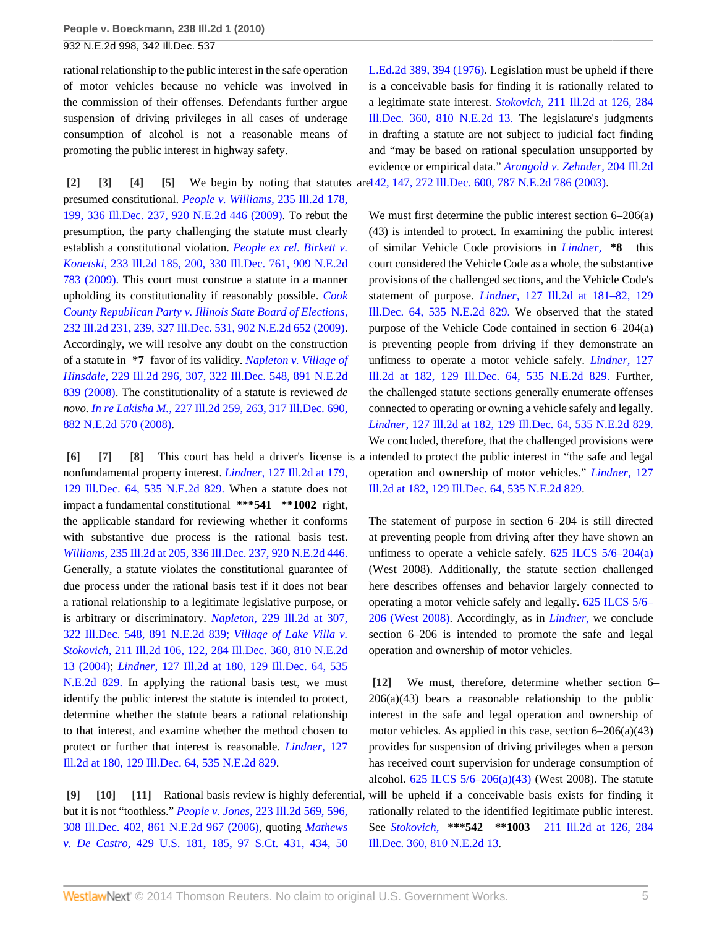rational relationship to the public interest in the safe operation of motor vehicles because no vehicle was involved in the commission of their offenses. Defendants further argue suspension of driving privileges in all cases of underage consumption of alcohol is not a reasonable means of promoting the public interest in highway safety.

<span id="page-4-3"></span><span id="page-4-2"></span><span id="page-4-1"></span><span id="page-4-0"></span>**[\[2\]](#page-0-1) [\[3\]](#page-0-2) [\[4\]](#page-0-3) [\[5\]](#page-1-0)** We begin by noting that statutes are [142, 147, 272 Ill.Dec. 600, 787 N.E.2d 786 \(2003\)](http://www.westlaw.com/Link/Document/FullText?findType=Y&serNum=2003233453&pubNum=578&originationContext=document&vr=3.0&rs=cblt1.0&transitionType=DocumentItem&contextData=(sc.Search)). presumed constitutional. *[People v. Williams,](http://www.westlaw.com/Link/Document/FullText?findType=Y&serNum=2020444507&pubNum=578&originationContext=document&vr=3.0&rs=cblt1.0&transitionType=DocumentItem&contextData=(sc.Search))* 235 Ill.2d 178, [199, 336 Ill.Dec. 237, 920 N.E.2d 446 \(2009\)](http://www.westlaw.com/Link/Document/FullText?findType=Y&serNum=2020444507&pubNum=578&originationContext=document&vr=3.0&rs=cblt1.0&transitionType=DocumentItem&contextData=(sc.Search)). To rebut the presumption, the party challenging the statute must clearly establish a constitutional violation. *[People ex rel. Birkett v.](http://www.westlaw.com/Link/Document/FullText?findType=Y&serNum=2018878636&pubNum=578&originationContext=document&vr=3.0&rs=cblt1.0&transitionType=DocumentItem&contextData=(sc.Search)) Konetski,* [233 Ill.2d 185, 200, 330 Ill.Dec. 761, 909 N.E.2d](http://www.westlaw.com/Link/Document/FullText?findType=Y&serNum=2018878636&pubNum=578&originationContext=document&vr=3.0&rs=cblt1.0&transitionType=DocumentItem&contextData=(sc.Search)) [783 \(2009\)](http://www.westlaw.com/Link/Document/FullText?findType=Y&serNum=2018878636&pubNum=578&originationContext=document&vr=3.0&rs=cblt1.0&transitionType=DocumentItem&contextData=(sc.Search)). This court must construe a statute in a manner upholding its constitutionality if reasonably possible. *[Cook](http://www.westlaw.com/Link/Document/FullText?findType=Y&serNum=2017938654&pubNum=578&originationContext=document&vr=3.0&rs=cblt1.0&transitionType=DocumentItem&contextData=(sc.Search)) [County Republican Party v. Illinois State Board of Elections,](http://www.westlaw.com/Link/Document/FullText?findType=Y&serNum=2017938654&pubNum=578&originationContext=document&vr=3.0&rs=cblt1.0&transitionType=DocumentItem&contextData=(sc.Search))* [232 Ill.2d 231, 239, 327 Ill.Dec. 531, 902 N.E.2d 652 \(2009\)](http://www.westlaw.com/Link/Document/FullText?findType=Y&serNum=2017938654&pubNum=578&originationContext=document&vr=3.0&rs=cblt1.0&transitionType=DocumentItem&contextData=(sc.Search)). Accordingly, we will resolve any doubt on the construction of a statute in **\*7** favor of its validity. *[Napleton v. Village of](http://www.westlaw.com/Link/Document/FullText?findType=Y&serNum=2016244038&pubNum=578&originationContext=document&vr=3.0&rs=cblt1.0&transitionType=DocumentItem&contextData=(sc.Search)) Hinsdale,* [229 Ill.2d 296, 307, 322 Ill.Dec. 548, 891 N.E.2d](http://www.westlaw.com/Link/Document/FullText?findType=Y&serNum=2016244038&pubNum=578&originationContext=document&vr=3.0&rs=cblt1.0&transitionType=DocumentItem&contextData=(sc.Search)) [839 \(2008\).](http://www.westlaw.com/Link/Document/FullText?findType=Y&serNum=2016244038&pubNum=578&originationContext=document&vr=3.0&rs=cblt1.0&transitionType=DocumentItem&contextData=(sc.Search)) The constitutionality of a statute is reviewed *de novo. In re Lakisha M.,* [227 Ill.2d 259, 263, 317 Ill.Dec. 690,](http://www.westlaw.com/Link/Document/FullText?findType=Y&serNum=2014903087&pubNum=578&originationContext=document&vr=3.0&rs=cblt1.0&transitionType=DocumentItem&contextData=(sc.Search)) [882 N.E.2d 570 \(2008\)](http://www.westlaw.com/Link/Document/FullText?findType=Y&serNum=2014903087&pubNum=578&originationContext=document&vr=3.0&rs=cblt1.0&transitionType=DocumentItem&contextData=(sc.Search)).

<span id="page-4-6"></span><span id="page-4-5"></span><span id="page-4-4"></span>nonfundamental property interest. *Lindner,* [127 Ill.2d at 179,](http://www.westlaw.com/Link/Document/FullText?findType=Y&serNum=1989027957&pubNum=578&originationContext=document&vr=3.0&rs=cblt1.0&transitionType=DocumentItem&contextData=(sc.Search)) [129 Ill.Dec. 64, 535 N.E.2d 829.](http://www.westlaw.com/Link/Document/FullText?findType=Y&serNum=1989027957&pubNum=578&originationContext=document&vr=3.0&rs=cblt1.0&transitionType=DocumentItem&contextData=(sc.Search)) When a statute does not impact a fundamental constitutional **\*\*\*541 \*\*1002** right, the applicable standard for reviewing whether it conforms with substantive due process is the rational basis test. *Williams,* [235 Ill.2d at 205, 336 Ill.Dec. 237, 920 N.E.2d 446.](http://www.westlaw.com/Link/Document/FullText?findType=Y&serNum=2020444507&pubNum=578&originationContext=document&vr=3.0&rs=cblt1.0&transitionType=DocumentItem&contextData=(sc.Search)) Generally, a statute violates the constitutional guarantee of due process under the rational basis test if it does not bear a rational relationship to a legitimate legislative purpose, or is arbitrary or discriminatory. *Napleton,* [229 Ill.2d at 307,](http://www.westlaw.com/Link/Document/FullText?findType=Y&serNum=2016244038&pubNum=578&originationContext=document&vr=3.0&rs=cblt1.0&transitionType=DocumentItem&contextData=(sc.Search)) [322 Ill.Dec. 548, 891 N.E.2d 839;](http://www.westlaw.com/Link/Document/FullText?findType=Y&serNum=2016244038&pubNum=578&originationContext=document&vr=3.0&rs=cblt1.0&transitionType=DocumentItem&contextData=(sc.Search)) *[Village of Lake Villa v.](http://www.westlaw.com/Link/Document/FullText?findType=Y&serNum=2004153792&pubNum=578&originationContext=document&vr=3.0&rs=cblt1.0&transitionType=DocumentItem&contextData=(sc.Search)) Stokovich,* [211 Ill.2d 106, 122, 284 Ill.Dec. 360, 810 N.E.2d](http://www.westlaw.com/Link/Document/FullText?findType=Y&serNum=2004153792&pubNum=578&originationContext=document&vr=3.0&rs=cblt1.0&transitionType=DocumentItem&contextData=(sc.Search)) [13 \(2004\)](http://www.westlaw.com/Link/Document/FullText?findType=Y&serNum=2004153792&pubNum=578&originationContext=document&vr=3.0&rs=cblt1.0&transitionType=DocumentItem&contextData=(sc.Search)); *Lindner,* [127 Ill.2d at 180, 129 Ill.Dec. 64, 535](http://www.westlaw.com/Link/Document/FullText?findType=Y&serNum=1989027957&pubNum=578&originationContext=document&vr=3.0&rs=cblt1.0&transitionType=DocumentItem&contextData=(sc.Search)) [N.E.2d 829.](http://www.westlaw.com/Link/Document/FullText?findType=Y&serNum=1989027957&pubNum=578&originationContext=document&vr=3.0&rs=cblt1.0&transitionType=DocumentItem&contextData=(sc.Search)) In applying the rational basis test, we must identify the public interest the statute is intended to protect, determine whether the statute bears a rational relationship to that interest, and examine whether the method chosen to protect or further that interest is reasonable. *[Lindner,](http://www.westlaw.com/Link/Document/FullText?findType=Y&serNum=1989027957&pubNum=578&originationContext=document&vr=3.0&rs=cblt1.0&transitionType=DocumentItem&contextData=(sc.Search))* 127 [Ill.2d at 180, 129 Ill.Dec. 64, 535 N.E.2d 829.](http://www.westlaw.com/Link/Document/FullText?findType=Y&serNum=1989027957&pubNum=578&originationContext=document&vr=3.0&rs=cblt1.0&transitionType=DocumentItem&contextData=(sc.Search))

<span id="page-4-9"></span><span id="page-4-8"></span><span id="page-4-7"></span>**[\[9\]](#page-1-4) [\[10\]](#page-1-5) [\[11](#page-1-6)]** Rational basis review is highly deferential, but it is not "toothless." *People v. Jones,* [223 Ill.2d 569, 596,](http://www.westlaw.com/Link/Document/FullText?findType=Y&serNum=2010955084&pubNum=578&originationContext=document&vr=3.0&rs=cblt1.0&transitionType=DocumentItem&contextData=(sc.Search)) [308 Ill.Dec. 402, 861 N.E.2d 967 \(2006\)](http://www.westlaw.com/Link/Document/FullText?findType=Y&serNum=2010955084&pubNum=578&originationContext=document&vr=3.0&rs=cblt1.0&transitionType=DocumentItem&contextData=(sc.Search)), quoting *[Mathews](http://www.westlaw.com/Link/Document/FullText?findType=Y&serNum=1976141346&pubNum=708&fi=co_pp_sp_708_434&originationContext=document&vr=3.0&rs=cblt1.0&transitionType=DocumentItem&contextData=(sc.Search)#co_pp_sp_708_434) v. De Castro,* [429 U.S. 181, 185, 97 S.Ct. 431, 434, 50](http://www.westlaw.com/Link/Document/FullText?findType=Y&serNum=1976141346&pubNum=708&fi=co_pp_sp_708_434&originationContext=document&vr=3.0&rs=cblt1.0&transitionType=DocumentItem&contextData=(sc.Search)#co_pp_sp_708_434)

[L.Ed.2d 389, 394 \(1976\).](http://www.westlaw.com/Link/Document/FullText?findType=Y&serNum=1976141346&pubNum=708&fi=co_pp_sp_708_434&originationContext=document&vr=3.0&rs=cblt1.0&transitionType=DocumentItem&contextData=(sc.Search)#co_pp_sp_708_434) Legislation must be upheld if there is a conceivable basis for finding it is rationally related to a legitimate state interest. *Stokovich,* [211 Ill.2d at 126, 284](http://www.westlaw.com/Link/Document/FullText?findType=Y&serNum=2004153792&pubNum=578&originationContext=document&vr=3.0&rs=cblt1.0&transitionType=DocumentItem&contextData=(sc.Search)) [Ill.Dec. 360, 810 N.E.2d 13.](http://www.westlaw.com/Link/Document/FullText?findType=Y&serNum=2004153792&pubNum=578&originationContext=document&vr=3.0&rs=cblt1.0&transitionType=DocumentItem&contextData=(sc.Search)) The legislature's judgments in drafting a statute are not subject to judicial fact finding and "may be based on rational speculation unsupported by evidence or empirical data." *[Arangold v. Zehnder,](http://www.westlaw.com/Link/Document/FullText?findType=Y&serNum=2003233453&pubNum=578&originationContext=document&vr=3.0&rs=cblt1.0&transitionType=DocumentItem&contextData=(sc.Search))* 204 Ill.2d

**[\[6\]](#page-1-1) [\[7\]](#page-1-2) [\[8\]](#page-1-3)** This court has held a driver's license is a intended to protect the public interest in "the safe and legal We must first determine the public interest section 6–206(a) (43) is intended to protect. In examining the public interest of similar Vehicle Code provisions in *[Lindner,](http://www.westlaw.com/Link/Document/FullText?findType=Y&serNum=1989027957&originationContext=document&vr=3.0&rs=cblt1.0&transitionType=DocumentItem&contextData=(sc.Search))* **\*8** this court considered the Vehicle Code as a whole, the substantive provisions of the challenged sections, and the Vehicle Code's statement of purpose. *Lindner,* [127 Ill.2d at 181–82, 129](http://www.westlaw.com/Link/Document/FullText?findType=Y&serNum=1989027957&pubNum=578&originationContext=document&vr=3.0&rs=cblt1.0&transitionType=DocumentItem&contextData=(sc.Search)) [Ill.Dec. 64, 535 N.E.2d 829.](http://www.westlaw.com/Link/Document/FullText?findType=Y&serNum=1989027957&pubNum=578&originationContext=document&vr=3.0&rs=cblt1.0&transitionType=DocumentItem&contextData=(sc.Search)) We observed that the stated purpose of the Vehicle Code contained in section 6–204(a) is preventing people from driving if they demonstrate an unfitness to operate a motor vehicle safely. *[Lindner,](http://www.westlaw.com/Link/Document/FullText?findType=Y&serNum=1989027957&pubNum=578&originationContext=document&vr=3.0&rs=cblt1.0&transitionType=DocumentItem&contextData=(sc.Search))* 127 [Ill.2d at 182, 129 Ill.Dec. 64, 535 N.E.2d 829.](http://www.westlaw.com/Link/Document/FullText?findType=Y&serNum=1989027957&pubNum=578&originationContext=document&vr=3.0&rs=cblt1.0&transitionType=DocumentItem&contextData=(sc.Search)) Further, the challenged statute sections generally enumerate offenses connected to operating or owning a vehicle safely and legally. *Lindner,* [127 Ill.2d at 182, 129 Ill.Dec. 64, 535 N.E.2d 829.](http://www.westlaw.com/Link/Document/FullText?findType=Y&serNum=1989027957&pubNum=578&originationContext=document&vr=3.0&rs=cblt1.0&transitionType=DocumentItem&contextData=(sc.Search)) We concluded, therefore, that the challenged provisions were operation and ownership of motor vehicles." *[Lindner,](http://www.westlaw.com/Link/Document/FullText?findType=Y&serNum=1989027957&pubNum=578&originationContext=document&vr=3.0&rs=cblt1.0&transitionType=DocumentItem&contextData=(sc.Search))* 127 [Ill.2d at 182, 129 Ill.Dec. 64, 535 N.E.2d 829.](http://www.westlaw.com/Link/Document/FullText?findType=Y&serNum=1989027957&pubNum=578&originationContext=document&vr=3.0&rs=cblt1.0&transitionType=DocumentItem&contextData=(sc.Search))

> The statement of purpose in section 6–204 is still directed at preventing people from driving after they have shown an unfitness to operate a vehicle safely.  $625$  ILCS  $5/6-204(a)$ (West 2008). Additionally, the statute section challenged here describes offenses and behavior largely connected to operating a motor vehicle safely and legally. [625 ILCS 5/6–](http://www.westlaw.com/Link/Document/FullText?findType=L&pubNum=1000008&cite=IL625S5%2f6-206&originatingDoc=Iced421f97fd311df86c1ad798a0ca1c1&refType=LQ&originationContext=document&vr=3.0&rs=cblt1.0&transitionType=DocumentItem&contextData=(sc.Search)) [206 \(West 2008\)](http://www.westlaw.com/Link/Document/FullText?findType=L&pubNum=1000008&cite=IL625S5%2f6-206&originatingDoc=Iced421f97fd311df86c1ad798a0ca1c1&refType=LQ&originationContext=document&vr=3.0&rs=cblt1.0&transitionType=DocumentItem&contextData=(sc.Search)). Accordingly, as in *[Lindner,](http://www.westlaw.com/Link/Document/FullText?findType=Y&serNum=1989027957&originationContext=document&vr=3.0&rs=cblt1.0&transitionType=DocumentItem&contextData=(sc.Search))* we conclude section 6–206 is intended to promote the safe and legal operation and ownership of motor vehicles.

<span id="page-4-10"></span>**[\[12\]](#page-1-7)** We must, therefore, determine whether section 6– 206(a)(43) bears a reasonable relationship to the public interest in the safe and legal operation and ownership of motor vehicles. As applied in this case, section  $6-206(a)(43)$ provides for suspension of driving privileges when a person has received court supervision for underage consumption of alcohol. [625 ILCS 5/6–206\(a\)\(43\)](http://www.westlaw.com/Link/Document/FullText?findType=L&pubNum=1000008&cite=IL625S5%2f6-206&originatingDoc=Iced421f97fd311df86c1ad798a0ca1c1&refType=SP&originationContext=document&vr=3.0&rs=cblt1.0&transitionType=DocumentItem&contextData=(sc.Search)#co_pp_8b3b0000958a4) (West 2008). The statute will be upheld if a conceivable basis exists for finding it rationally related to the identified legitimate public interest. See *Stokovich,* **\*\*\*542 \*\*1003** [211 Ill.2d at 126, 284](http://www.westlaw.com/Link/Document/FullText?findType=Y&serNum=2004153792&pubNum=578&originationContext=document&vr=3.0&rs=cblt1.0&transitionType=DocumentItem&contextData=(sc.Search)) [Ill.Dec. 360, 810 N.E.2d 13.](http://www.westlaw.com/Link/Document/FullText?findType=Y&serNum=2004153792&pubNum=578&originationContext=document&vr=3.0&rs=cblt1.0&transitionType=DocumentItem&contextData=(sc.Search))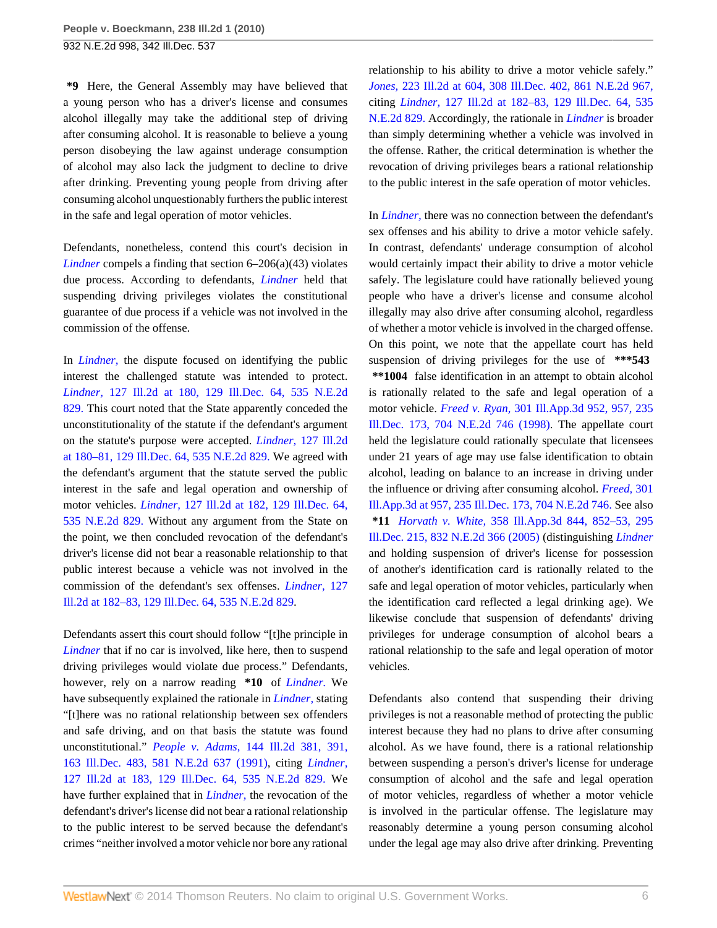**\*9** Here, the General Assembly may have believed that a young person who has a driver's license and consumes alcohol illegally may take the additional step of driving after consuming alcohol. It is reasonable to believe a young person disobeying the law against underage consumption of alcohol may also lack the judgment to decline to drive after drinking. Preventing young people from driving after consuming alcohol unquestionably furthers the public interest in the safe and legal operation of motor vehicles.

Defendants, nonetheless, contend this court's decision in *[Lindner](http://www.westlaw.com/Link/Document/FullText?findType=Y&serNum=1989027957&originationContext=document&vr=3.0&rs=cblt1.0&transitionType=DocumentItem&contextData=(sc.Search))* compels a finding that section 6–206(a)(43) violates due process. According to defendants, *[Lindner](http://www.westlaw.com/Link/Document/FullText?findType=Y&serNum=1989027957&originationContext=document&vr=3.0&rs=cblt1.0&transitionType=DocumentItem&contextData=(sc.Search))* held that suspending driving privileges violates the constitutional guarantee of due process if a vehicle was not involved in the commission of the offense.

In *[Lindner,](http://www.westlaw.com/Link/Document/FullText?findType=Y&serNum=1989027957&originationContext=document&vr=3.0&rs=cblt1.0&transitionType=DocumentItem&contextData=(sc.Search))* the dispute focused on identifying the public interest the challenged statute was intended to protect. *Lindner,* [127 Ill.2d at 180, 129 Ill.Dec. 64, 535 N.E.2d](http://www.westlaw.com/Link/Document/FullText?findType=Y&serNum=1989027957&pubNum=578&originationContext=document&vr=3.0&rs=cblt1.0&transitionType=DocumentItem&contextData=(sc.Search)) [829.](http://www.westlaw.com/Link/Document/FullText?findType=Y&serNum=1989027957&pubNum=578&originationContext=document&vr=3.0&rs=cblt1.0&transitionType=DocumentItem&contextData=(sc.Search)) This court noted that the State apparently conceded the unconstitutionality of the statute if the defendant's argument on the statute's purpose were accepted. *Lindner,* [127 Ill.2d](http://www.westlaw.com/Link/Document/FullText?findType=Y&serNum=1989027957&pubNum=578&originationContext=document&vr=3.0&rs=cblt1.0&transitionType=DocumentItem&contextData=(sc.Search)) [at 180–81, 129 Ill.Dec. 64, 535 N.E.2d 829.](http://www.westlaw.com/Link/Document/FullText?findType=Y&serNum=1989027957&pubNum=578&originationContext=document&vr=3.0&rs=cblt1.0&transitionType=DocumentItem&contextData=(sc.Search)) We agreed with the defendant's argument that the statute served the public interest in the safe and legal operation and ownership of motor vehicles. *Lindner,* [127 Ill.2d at 182, 129 Ill.Dec. 64,](http://www.westlaw.com/Link/Document/FullText?findType=Y&serNum=1989027957&pubNum=578&originationContext=document&vr=3.0&rs=cblt1.0&transitionType=DocumentItem&contextData=(sc.Search)) [535 N.E.2d 829.](http://www.westlaw.com/Link/Document/FullText?findType=Y&serNum=1989027957&pubNum=578&originationContext=document&vr=3.0&rs=cblt1.0&transitionType=DocumentItem&contextData=(sc.Search)) Without any argument from the State on the point, we then concluded revocation of the defendant's driver's license did not bear a reasonable relationship to that public interest because a vehicle was not involved in the commission of the defendant's sex offenses. *[Lindner,](http://www.westlaw.com/Link/Document/FullText?findType=Y&serNum=1989027957&pubNum=578&originationContext=document&vr=3.0&rs=cblt1.0&transitionType=DocumentItem&contextData=(sc.Search))* 127 [Ill.2d at 182–83, 129 Ill.Dec. 64, 535 N.E.2d 829.](http://www.westlaw.com/Link/Document/FullText?findType=Y&serNum=1989027957&pubNum=578&originationContext=document&vr=3.0&rs=cblt1.0&transitionType=DocumentItem&contextData=(sc.Search))

Defendants assert this court should follow "[t]he principle in *[Lindner](http://www.westlaw.com/Link/Document/FullText?findType=Y&serNum=1989027957&originationContext=document&vr=3.0&rs=cblt1.0&transitionType=DocumentItem&contextData=(sc.Search))* that if no car is involved, like here, then to suspend driving privileges would violate due process." Defendants, however, rely on a narrow reading **\*10** of *[Lindner.](http://www.westlaw.com/Link/Document/FullText?findType=Y&serNum=1989027957&originationContext=document&vr=3.0&rs=cblt1.0&transitionType=DocumentItem&contextData=(sc.Search))* We have subsequently explained the rationale in *[Lindner,](http://www.westlaw.com/Link/Document/FullText?findType=Y&serNum=1989027957&originationContext=document&vr=3.0&rs=cblt1.0&transitionType=DocumentItem&contextData=(sc.Search))* stating "[t]here was no rational relationship between sex offenders and safe driving, and on that basis the statute was found unconstitutional." *People v. Adams,* [144 Ill.2d 381, 391,](http://www.westlaw.com/Link/Document/FullText?findType=Y&serNum=1991172667&pubNum=578&originationContext=document&vr=3.0&rs=cblt1.0&transitionType=DocumentItem&contextData=(sc.Search)) [163 Ill.Dec. 483, 581 N.E.2d 637 \(1991\),](http://www.westlaw.com/Link/Document/FullText?findType=Y&serNum=1991172667&pubNum=578&originationContext=document&vr=3.0&rs=cblt1.0&transitionType=DocumentItem&contextData=(sc.Search)) citing *[Lindner,](http://www.westlaw.com/Link/Document/FullText?findType=Y&serNum=1989027957&pubNum=578&originationContext=document&vr=3.0&rs=cblt1.0&transitionType=DocumentItem&contextData=(sc.Search))* [127 Ill.2d at 183, 129 Ill.Dec. 64, 535 N.E.2d 829.](http://www.westlaw.com/Link/Document/FullText?findType=Y&serNum=1989027957&pubNum=578&originationContext=document&vr=3.0&rs=cblt1.0&transitionType=DocumentItem&contextData=(sc.Search)) We have further explained that in *[Lindner,](http://www.westlaw.com/Link/Document/FullText?findType=Y&serNum=1989027957&originationContext=document&vr=3.0&rs=cblt1.0&transitionType=DocumentItem&contextData=(sc.Search))* the revocation of the defendant's driver's license did not bear a rational relationship to the public interest to be served because the defendant's crimes "neither involved a motor vehicle nor bore any rational

relationship to his ability to drive a motor vehicle safely." *Jones,* [223 Ill.2d at 604, 308 Ill.Dec. 402, 861 N.E.2d 967,](http://www.westlaw.com/Link/Document/FullText?findType=Y&serNum=2010955084&pubNum=578&originationContext=document&vr=3.0&rs=cblt1.0&transitionType=DocumentItem&contextData=(sc.Search)) citing *Lindner,* [127 Ill.2d at 182–83, 129 Ill.Dec. 64, 535](http://www.westlaw.com/Link/Document/FullText?findType=Y&serNum=1989027957&pubNum=578&originationContext=document&vr=3.0&rs=cblt1.0&transitionType=DocumentItem&contextData=(sc.Search)) [N.E.2d 829.](http://www.westlaw.com/Link/Document/FullText?findType=Y&serNum=1989027957&pubNum=578&originationContext=document&vr=3.0&rs=cblt1.0&transitionType=DocumentItem&contextData=(sc.Search)) Accordingly, the rationale in *[Lindner](http://www.westlaw.com/Link/Document/FullText?findType=Y&serNum=1989027957&originationContext=document&vr=3.0&rs=cblt1.0&transitionType=DocumentItem&contextData=(sc.Search))* is broader than simply determining whether a vehicle was involved in the offense. Rather, the critical determination is whether the revocation of driving privileges bears a rational relationship to the public interest in the safe operation of motor vehicles.

In *[Lindner,](http://www.westlaw.com/Link/Document/FullText?findType=Y&serNum=1989027957&originationContext=document&vr=3.0&rs=cblt1.0&transitionType=DocumentItem&contextData=(sc.Search))* there was no connection between the defendant's sex offenses and his ability to drive a motor vehicle safely. In contrast, defendants' underage consumption of alcohol would certainly impact their ability to drive a motor vehicle safely. The legislature could have rationally believed young people who have a driver's license and consume alcohol illegally may also drive after consuming alcohol, regardless of whether a motor vehicle is involved in the charged offense. On this point, we note that the appellate court has held suspension of driving privileges for the use of **\*\*\*543 \*\*1004** false identification in an attempt to obtain alcohol is rationally related to the safe and legal operation of a motor vehicle. *Freed v. Ryan,* [301 Ill.App.3d 952, 957, 235](http://www.westlaw.com/Link/Document/FullText?findType=Y&serNum=1998241221&pubNum=578&originationContext=document&vr=3.0&rs=cblt1.0&transitionType=DocumentItem&contextData=(sc.Search)) [Ill.Dec. 173, 704 N.E.2d 746 \(1998\).](http://www.westlaw.com/Link/Document/FullText?findType=Y&serNum=1998241221&pubNum=578&originationContext=document&vr=3.0&rs=cblt1.0&transitionType=DocumentItem&contextData=(sc.Search)) The appellate court held the legislature could rationally speculate that licensees under 21 years of age may use false identification to obtain alcohol, leading on balance to an increase in driving under the influence or driving after consuming alcohol. *[Freed,](http://www.westlaw.com/Link/Document/FullText?findType=Y&serNum=1998241221&pubNum=578&originationContext=document&vr=3.0&rs=cblt1.0&transitionType=DocumentItem&contextData=(sc.Search))* 301 [Ill.App.3d at 957, 235 Ill.Dec. 173, 704 N.E.2d 746.](http://www.westlaw.com/Link/Document/FullText?findType=Y&serNum=1998241221&pubNum=578&originationContext=document&vr=3.0&rs=cblt1.0&transitionType=DocumentItem&contextData=(sc.Search)) See also **\*11** *Horvath v. White,* [358 Ill.App.3d 844, 852–53, 295](http://www.westlaw.com/Link/Document/FullText?findType=Y&serNum=2006888331&pubNum=578&originationContext=document&vr=3.0&rs=cblt1.0&transitionType=DocumentItem&contextData=(sc.Search)) [Ill.Dec. 215, 832 N.E.2d 366 \(2005\)](http://www.westlaw.com/Link/Document/FullText?findType=Y&serNum=2006888331&pubNum=578&originationContext=document&vr=3.0&rs=cblt1.0&transitionType=DocumentItem&contextData=(sc.Search)) (distinguishing *[Lindner](http://www.westlaw.com/Link/Document/FullText?findType=Y&serNum=1989027957&originationContext=document&vr=3.0&rs=cblt1.0&transitionType=DocumentItem&contextData=(sc.Search))* and holding suspension of driver's license for possession of another's identification card is rationally related to the safe and legal operation of motor vehicles, particularly when the identification card reflected a legal drinking age). We likewise conclude that suspension of defendants' driving privileges for underage consumption of alcohol bears a rational relationship to the safe and legal operation of motor vehicles.

Defendants also contend that suspending their driving privileges is not a reasonable method of protecting the public interest because they had no plans to drive after consuming alcohol. As we have found, there is a rational relationship between suspending a person's driver's license for underage consumption of alcohol and the safe and legal operation of motor vehicles, regardless of whether a motor vehicle is involved in the particular offense. The legislature may reasonably determine a young person consuming alcohol under the legal age may also drive after drinking. Preventing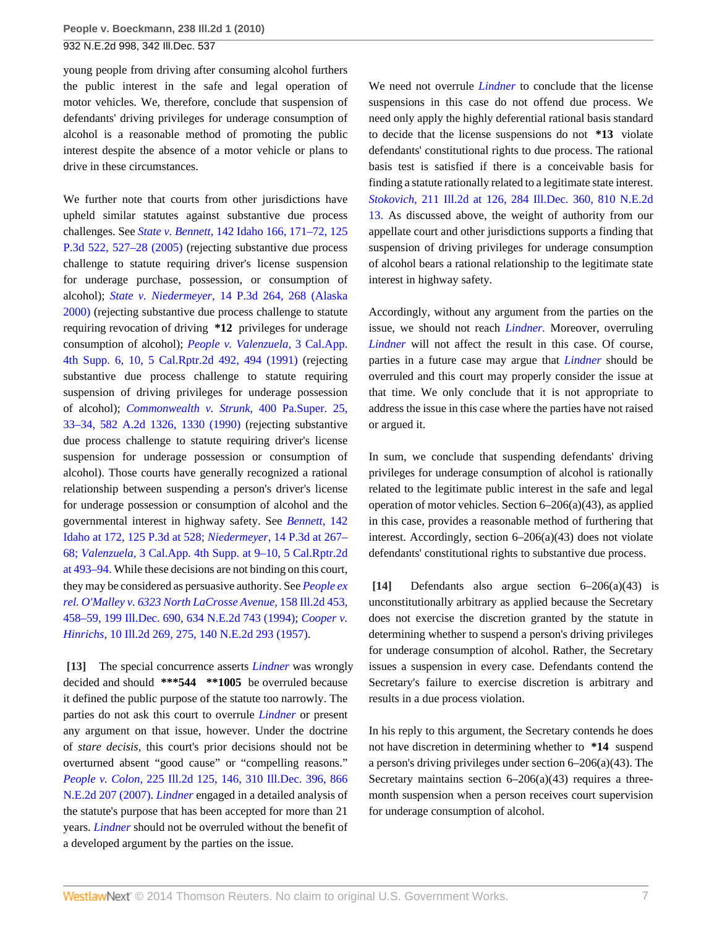young people from driving after consuming alcohol furthers the public interest in the safe and legal operation of motor vehicles. We, therefore, conclude that suspension of defendants' driving privileges for underage consumption of alcohol is a reasonable method of promoting the public interest despite the absence of a motor vehicle or plans to drive in these circumstances.

We further note that courts from other jurisdictions have upheld similar statutes against substantive due process challenges. See *State v. Bennett,* [142 Idaho 166, 171–72, 125](http://www.westlaw.com/Link/Document/FullText?findType=Y&serNum=2007725818&pubNum=4645&fi=co_pp_sp_4645_527&originationContext=document&vr=3.0&rs=cblt1.0&transitionType=DocumentItem&contextData=(sc.Search)#co_pp_sp_4645_527) [P.3d 522, 527–28 \(2005\)](http://www.westlaw.com/Link/Document/FullText?findType=Y&serNum=2007725818&pubNum=4645&fi=co_pp_sp_4645_527&originationContext=document&vr=3.0&rs=cblt1.0&transitionType=DocumentItem&contextData=(sc.Search)#co_pp_sp_4645_527) (rejecting substantive due process challenge to statute requiring driver's license suspension for underage purchase, possession, or consumption of alcohol); *State v. Niedermeyer,* [14 P.3d 264, 268 \(Alaska](http://www.westlaw.com/Link/Document/FullText?findType=Y&serNum=2000647952&pubNum=4645&fi=co_pp_sp_4645_268&originationContext=document&vr=3.0&rs=cblt1.0&transitionType=DocumentItem&contextData=(sc.Search)#co_pp_sp_4645_268) [2000\)](http://www.westlaw.com/Link/Document/FullText?findType=Y&serNum=2000647952&pubNum=4645&fi=co_pp_sp_4645_268&originationContext=document&vr=3.0&rs=cblt1.0&transitionType=DocumentItem&contextData=(sc.Search)#co_pp_sp_4645_268) (rejecting substantive due process challenge to statute requiring revocation of driving **\*12** privileges for underage consumption of alcohol); *[People v. Valenzuela,](http://www.westlaw.com/Link/Document/FullText?findType=Y&serNum=1992052117&pubNum=3484&fi=co_pp_sp_3484_494&originationContext=document&vr=3.0&rs=cblt1.0&transitionType=DocumentItem&contextData=(sc.Search)#co_pp_sp_3484_494)* 3 Cal.App. [4th Supp. 6, 10, 5 Cal.Rptr.2d 492, 494 \(1991\)](http://www.westlaw.com/Link/Document/FullText?findType=Y&serNum=1992052117&pubNum=3484&fi=co_pp_sp_3484_494&originationContext=document&vr=3.0&rs=cblt1.0&transitionType=DocumentItem&contextData=(sc.Search)#co_pp_sp_3484_494) (rejecting substantive due process challenge to statute requiring suspension of driving privileges for underage possession of alcohol); *[Commonwealth v. Strunk,](http://www.westlaw.com/Link/Document/FullText?findType=Y&serNum=1990170780&pubNum=162&fi=co_pp_sp_162_1330&originationContext=document&vr=3.0&rs=cblt1.0&transitionType=DocumentItem&contextData=(sc.Search)#co_pp_sp_162_1330)* 400 Pa.Super. 25, [33–34, 582 A.2d 1326, 1330 \(1990\)](http://www.westlaw.com/Link/Document/FullText?findType=Y&serNum=1990170780&pubNum=162&fi=co_pp_sp_162_1330&originationContext=document&vr=3.0&rs=cblt1.0&transitionType=DocumentItem&contextData=(sc.Search)#co_pp_sp_162_1330) (rejecting substantive due process challenge to statute requiring driver's license suspension for underage possession or consumption of alcohol). Those courts have generally recognized a rational relationship between suspending a person's driver's license for underage possession or consumption of alcohol and the governmental interest in highway safety. See *[Bennett,](http://www.westlaw.com/Link/Document/FullText?findType=Y&serNum=2007725818&pubNum=4645&fi=co_pp_sp_4645_528&originationContext=document&vr=3.0&rs=cblt1.0&transitionType=DocumentItem&contextData=(sc.Search)#co_pp_sp_4645_528)* 142 [Idaho at 172, 125 P.3d at 528;](http://www.westlaw.com/Link/Document/FullText?findType=Y&serNum=2007725818&pubNum=4645&fi=co_pp_sp_4645_528&originationContext=document&vr=3.0&rs=cblt1.0&transitionType=DocumentItem&contextData=(sc.Search)#co_pp_sp_4645_528) *Niedermeyer,* [14 P.3d at 267–](http://www.westlaw.com/Link/Document/FullText?findType=Y&serNum=2000647952&pubNum=4645&fi=co_pp_sp_4645_267&originationContext=document&vr=3.0&rs=cblt1.0&transitionType=DocumentItem&contextData=(sc.Search)#co_pp_sp_4645_267) [68;](http://www.westlaw.com/Link/Document/FullText?findType=Y&serNum=2000647952&pubNum=4645&fi=co_pp_sp_4645_267&originationContext=document&vr=3.0&rs=cblt1.0&transitionType=DocumentItem&contextData=(sc.Search)#co_pp_sp_4645_267) *Valenzuela,* [3 Cal.App. 4th Supp. at 9–10, 5 Cal.Rptr.2d](http://www.westlaw.com/Link/Document/FullText?findType=Y&serNum=1992052117&pubNum=3484&fi=co_pp_sp_3484_493&originationContext=document&vr=3.0&rs=cblt1.0&transitionType=DocumentItem&contextData=(sc.Search)#co_pp_sp_3484_493) [at 493–94.](http://www.westlaw.com/Link/Document/FullText?findType=Y&serNum=1992052117&pubNum=3484&fi=co_pp_sp_3484_493&originationContext=document&vr=3.0&rs=cblt1.0&transitionType=DocumentItem&contextData=(sc.Search)#co_pp_sp_3484_493) While these decisions are not binding on this court, they may be considered as persuasive authority. See *[People ex](http://www.westlaw.com/Link/Document/FullText?findType=Y&serNum=1994070961&pubNum=578&originationContext=document&vr=3.0&rs=cblt1.0&transitionType=DocumentItem&contextData=(sc.Search)) [rel. O'Malley v. 6323 North LaCrosse Avenue,](http://www.westlaw.com/Link/Document/FullText?findType=Y&serNum=1994070961&pubNum=578&originationContext=document&vr=3.0&rs=cblt1.0&transitionType=DocumentItem&contextData=(sc.Search))* 158 Ill.2d 453, [458–59, 199 Ill.Dec. 690, 634 N.E.2d 743 \(1994\)](http://www.westlaw.com/Link/Document/FullText?findType=Y&serNum=1994070961&pubNum=578&originationContext=document&vr=3.0&rs=cblt1.0&transitionType=DocumentItem&contextData=(sc.Search)); *[Cooper v.](http://www.westlaw.com/Link/Document/FullText?findType=Y&serNum=1957111199&pubNum=578&originationContext=document&vr=3.0&rs=cblt1.0&transitionType=DocumentItem&contextData=(sc.Search)) Hinrichs,* [10 Ill.2d 269, 275, 140 N.E.2d 293 \(1957\).](http://www.westlaw.com/Link/Document/FullText?findType=Y&serNum=1957111199&pubNum=578&originationContext=document&vr=3.0&rs=cblt1.0&transitionType=DocumentItem&contextData=(sc.Search))

<span id="page-6-0"></span>**[\[13\]](#page-1-8)** The special concurrence asserts *[Lindner](http://www.westlaw.com/Link/Document/FullText?findType=Y&serNum=1989027957&originationContext=document&vr=3.0&rs=cblt1.0&transitionType=DocumentItem&contextData=(sc.Search))* was wrongly decided and should **\*\*\*544 \*\*1005** be overruled because it defined the public purpose of the statute too narrowly. The parties do not ask this court to overrule *[Lindner](http://www.westlaw.com/Link/Document/FullText?findType=Y&serNum=1989027957&originationContext=document&vr=3.0&rs=cblt1.0&transitionType=DocumentItem&contextData=(sc.Search))* or present any argument on that issue, however. Under the doctrine of *stare decisis,* this court's prior decisions should not be overturned absent "good cause" or "compelling reasons." *People v. Colon,* [225 Ill.2d 125, 146, 310 Ill.Dec. 396, 866](http://www.westlaw.com/Link/Document/FullText?findType=Y&serNum=2011748965&pubNum=578&originationContext=document&vr=3.0&rs=cblt1.0&transitionType=DocumentItem&contextData=(sc.Search)) [N.E.2d 207 \(2007\).](http://www.westlaw.com/Link/Document/FullText?findType=Y&serNum=2011748965&pubNum=578&originationContext=document&vr=3.0&rs=cblt1.0&transitionType=DocumentItem&contextData=(sc.Search)) *[Lindner](http://www.westlaw.com/Link/Document/FullText?findType=Y&serNum=1989027957&originationContext=document&vr=3.0&rs=cblt1.0&transitionType=DocumentItem&contextData=(sc.Search))* engaged in a detailed analysis of the statute's purpose that has been accepted for more than 21 years. *[Lindner](http://www.westlaw.com/Link/Document/FullText?findType=Y&serNum=1989027957&originationContext=document&vr=3.0&rs=cblt1.0&transitionType=DocumentItem&contextData=(sc.Search))* should not be overruled without the benefit of a developed argument by the parties on the issue.

We need not overrule *[Lindner](http://www.westlaw.com/Link/Document/FullText?findType=Y&serNum=1989027957&originationContext=document&vr=3.0&rs=cblt1.0&transitionType=DocumentItem&contextData=(sc.Search))* to conclude that the license suspensions in this case do not offend due process. We need only apply the highly deferential rational basis standard to decide that the license suspensions do not **\*13** violate defendants' constitutional rights to due process. The rational basis test is satisfied if there is a conceivable basis for finding a statute rationally related to a legitimate state interest. *Stokovich,* [211 Ill.2d at 126, 284 Ill.Dec. 360, 810 N.E.2d](http://www.westlaw.com/Link/Document/FullText?findType=Y&serNum=2004153792&pubNum=578&originationContext=document&vr=3.0&rs=cblt1.0&transitionType=DocumentItem&contextData=(sc.Search)) [13.](http://www.westlaw.com/Link/Document/FullText?findType=Y&serNum=2004153792&pubNum=578&originationContext=document&vr=3.0&rs=cblt1.0&transitionType=DocumentItem&contextData=(sc.Search)) As discussed above, the weight of authority from our appellate court and other jurisdictions supports a finding that suspension of driving privileges for underage consumption of alcohol bears a rational relationship to the legitimate state interest in highway safety.

Accordingly, without any argument from the parties on the issue, we should not reach *[Lindner.](http://www.westlaw.com/Link/Document/FullText?findType=Y&serNum=1989027957&originationContext=document&vr=3.0&rs=cblt1.0&transitionType=DocumentItem&contextData=(sc.Search))* Moreover, overruling *[Lindner](http://www.westlaw.com/Link/Document/FullText?findType=Y&serNum=1989027957&originationContext=document&vr=3.0&rs=cblt1.0&transitionType=DocumentItem&contextData=(sc.Search))* will not affect the result in this case. Of course, parties in a future case may argue that *[Lindner](http://www.westlaw.com/Link/Document/FullText?findType=Y&serNum=1989027957&originationContext=document&vr=3.0&rs=cblt1.0&transitionType=DocumentItem&contextData=(sc.Search))* should be overruled and this court may properly consider the issue at that time. We only conclude that it is not appropriate to address the issue in this case where the parties have not raised or argued it.

In sum, we conclude that suspending defendants' driving privileges for underage consumption of alcohol is rationally related to the legitimate public interest in the safe and legal operation of motor vehicles. Section 6–206(a)(43), as applied in this case, provides a reasonable method of furthering that interest. Accordingly, section 6–206(a)(43) does not violate defendants' constitutional rights to substantive due process.

<span id="page-6-1"></span>**[\[14\]](#page-2-0)** Defendants also argue section 6–206(a)(43) is unconstitutionally arbitrary as applied because the Secretary does not exercise the discretion granted by the statute in determining whether to suspend a person's driving privileges for underage consumption of alcohol. Rather, the Secretary issues a suspension in every case. Defendants contend the Secretary's failure to exercise discretion is arbitrary and results in a due process violation.

In his reply to this argument, the Secretary contends he does not have discretion in determining whether to **\*14** suspend a person's driving privileges under section 6–206(a)(43). The Secretary maintains section  $6-206(a)(43)$  requires a threemonth suspension when a person receives court supervision for underage consumption of alcohol.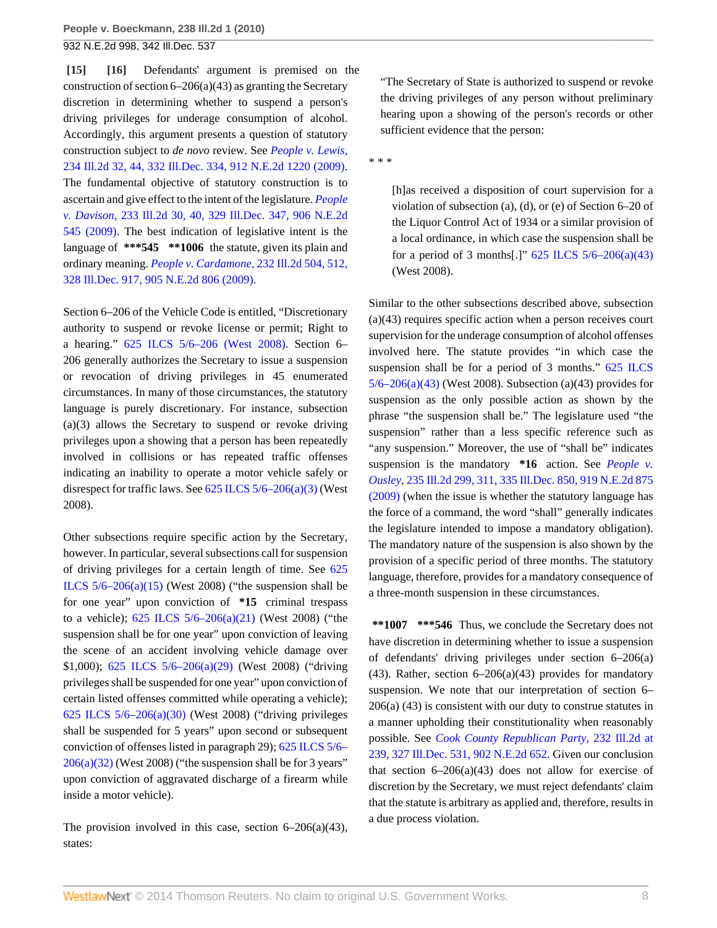<span id="page-7-1"></span><span id="page-7-0"></span>**[\[15\]](#page-2-2) [\[16\]](#page-2-3)** Defendants' argument is premised on the construction of section  $6-206(a)(43)$  as granting the Secretary discretion in determining whether to suspend a person's driving privileges for underage consumption of alcohol. Accordingly, this argument presents a question of statutory construction subject to *de novo* review. See *[People v. Lewis,](http://www.westlaw.com/Link/Document/FullText?findType=Y&serNum=2019401817&pubNum=578&originationContext=document&vr=3.0&rs=cblt1.0&transitionType=DocumentItem&contextData=(sc.Search))* [234 Ill.2d 32, 44, 332 Ill.Dec. 334, 912 N.E.2d 1220 \(2009\)](http://www.westlaw.com/Link/Document/FullText?findType=Y&serNum=2019401817&pubNum=578&originationContext=document&vr=3.0&rs=cblt1.0&transitionType=DocumentItem&contextData=(sc.Search)). The fundamental objective of statutory construction is to ascertain and give effect to the intent of the legislature. *[People](http://www.westlaw.com/Link/Document/FullText?findType=Y&serNum=2018542966&pubNum=578&originationContext=document&vr=3.0&rs=cblt1.0&transitionType=DocumentItem&contextData=(sc.Search)) v. Davison,* [233 Ill.2d 30, 40, 329 Ill.Dec. 347, 906 N.E.2d](http://www.westlaw.com/Link/Document/FullText?findType=Y&serNum=2018542966&pubNum=578&originationContext=document&vr=3.0&rs=cblt1.0&transitionType=DocumentItem&contextData=(sc.Search)) [545 \(2009\).](http://www.westlaw.com/Link/Document/FullText?findType=Y&serNum=2018542966&pubNum=578&originationContext=document&vr=3.0&rs=cblt1.0&transitionType=DocumentItem&contextData=(sc.Search)) The best indication of legislative intent is the language of **\*\*\*545 \*\*1006** the statute, given its plain and ordinary meaning. *[People v. Cardamone,](http://www.westlaw.com/Link/Document/FullText?findType=Y&serNum=2018394712&pubNum=578&originationContext=document&vr=3.0&rs=cblt1.0&transitionType=DocumentItem&contextData=(sc.Search))* 232 Ill.2d 504, 512, [328 Ill.Dec. 917, 905 N.E.2d 806 \(2009\)](http://www.westlaw.com/Link/Document/FullText?findType=Y&serNum=2018394712&pubNum=578&originationContext=document&vr=3.0&rs=cblt1.0&transitionType=DocumentItem&contextData=(sc.Search)).

Section 6–206 of the Vehicle Code is entitled, "Discretionary authority to suspend or revoke license or permit; Right to a hearing." [625 ILCS 5/6–206 \(West 2008\).](http://www.westlaw.com/Link/Document/FullText?findType=L&pubNum=1000008&cite=IL625S5%2f6-206&originatingDoc=Iced421f97fd311df86c1ad798a0ca1c1&refType=LQ&originationContext=document&vr=3.0&rs=cblt1.0&transitionType=DocumentItem&contextData=(sc.Search)) Section 6– 206 generally authorizes the Secretary to issue a suspension or revocation of driving privileges in 45 enumerated circumstances. In many of those circumstances, the statutory language is purely discretionary. For instance, subsection (a)(3) allows the Secretary to suspend or revoke driving privileges upon a showing that a person has been repeatedly involved in collisions or has repeated traffic offenses indicating an inability to operate a motor vehicle safely or disrespect for traffic laws. See  $625$  ILCS  $5/6-206(a)(3)$  (West 2008).

Other subsections require specific action by the Secretary, however. In particular, several subsections call for suspension of driving privileges for a certain length of time. See [625](http://www.westlaw.com/Link/Document/FullText?findType=L&pubNum=1000008&cite=IL625S5%2f6-206&originatingDoc=Iced421f97fd311df86c1ad798a0ca1c1&refType=SP&originationContext=document&vr=3.0&rs=cblt1.0&transitionType=DocumentItem&contextData=(sc.Search)#co_pp_8b3b0000958a4) ILCS  $5/6-206(a)(15)$  (West 2008) ("the suspension shall be for one year" upon conviction of **\*15** criminal trespass to a vehicle);  $625$  ILCS  $5/6-206(a)(21)$  (West 2008) ("the suspension shall be for one year" upon conviction of leaving the scene of an accident involving vehicle damage over \$1,000); [625 ILCS 5/6–206\(a\)\(29\)](http://www.westlaw.com/Link/Document/FullText?findType=L&pubNum=1000008&cite=IL625S5%2f6-206&originatingDoc=Iced421f97fd311df86c1ad798a0ca1c1&refType=SP&originationContext=document&vr=3.0&rs=cblt1.0&transitionType=DocumentItem&contextData=(sc.Search)#co_pp_8b3b0000958a4) (West 2008) ("driving privileges shall be suspended for one year" upon conviction of certain listed offenses committed while operating a vehicle); [625 ILCS 5/6–206\(a\)\(30\)](http://www.westlaw.com/Link/Document/FullText?findType=L&pubNum=1000008&cite=IL625S5%2f6-206&originatingDoc=Iced421f97fd311df86c1ad798a0ca1c1&refType=SP&originationContext=document&vr=3.0&rs=cblt1.0&transitionType=DocumentItem&contextData=(sc.Search)#co_pp_8b3b0000958a4) (West 2008) ("driving privileges shall be suspended for 5 years" upon second or subsequent conviction of offenses listed in paragraph 29); [625 ILCS 5/6–](http://www.westlaw.com/Link/Document/FullText?findType=L&pubNum=1000008&cite=IL625S5%2f6-206&originatingDoc=Iced421f97fd311df86c1ad798a0ca1c1&refType=SP&originationContext=document&vr=3.0&rs=cblt1.0&transitionType=DocumentItem&contextData=(sc.Search)#co_pp_8b3b0000958a4)  $206(a)(32)$  (West 2008) ("the suspension shall be for 3 years" upon conviction of aggravated discharge of a firearm while inside a motor vehicle).

The provision involved in this case, section  $6-206(a)(43)$ , states:

"The Secretary of State is authorized to suspend or revoke the driving privileges of any person without preliminary hearing upon a showing of the person's records or other sufficient evidence that the person:

\* \* \*

[h]as received a disposition of court supervision for a violation of subsection (a), (d), or (e) of Section 6–20 of the Liquor Control Act of 1934 or a similar provision of a local ordinance, in which case the suspension shall be for a period of 3 months[.]"  $625$  ILCS  $5/6-206(a)(43)$ (West 2008).

Similar to the other subsections described above, subsection (a)(43) requires specific action when a person receives court supervision for the underage consumption of alcohol offenses involved here. The statute provides "in which case the suspension shall be for a period of 3 months." [625 ILCS](http://www.westlaw.com/Link/Document/FullText?findType=L&pubNum=1000008&cite=IL625S5%2f6-206&originatingDoc=Iced421f97fd311df86c1ad798a0ca1c1&refType=SP&originationContext=document&vr=3.0&rs=cblt1.0&transitionType=DocumentItem&contextData=(sc.Search)#co_pp_8b3b0000958a4) [5/6–206\(a\)\(43\)](http://www.westlaw.com/Link/Document/FullText?findType=L&pubNum=1000008&cite=IL625S5%2f6-206&originatingDoc=Iced421f97fd311df86c1ad798a0ca1c1&refType=SP&originationContext=document&vr=3.0&rs=cblt1.0&transitionType=DocumentItem&contextData=(sc.Search)#co_pp_8b3b0000958a4) (West 2008). Subsection (a)(43) provides for suspension as the only possible action as shown by the phrase "the suspension shall be." The legislature used "the suspension" rather than a less specific reference such as "any suspension." Moreover, the use of "shall be" indicates suspension is the mandatory **\*16** action. See *[People v.](http://www.westlaw.com/Link/Document/FullText?findType=Y&serNum=2019892826&pubNum=578&originationContext=document&vr=3.0&rs=cblt1.0&transitionType=DocumentItem&contextData=(sc.Search)) Ousley,* [235 Ill.2d 299, 311, 335 Ill.Dec. 850, 919 N.E.2d 875](http://www.westlaw.com/Link/Document/FullText?findType=Y&serNum=2019892826&pubNum=578&originationContext=document&vr=3.0&rs=cblt1.0&transitionType=DocumentItem&contextData=(sc.Search)) [\(2009\)](http://www.westlaw.com/Link/Document/FullText?findType=Y&serNum=2019892826&pubNum=578&originationContext=document&vr=3.0&rs=cblt1.0&transitionType=DocumentItem&contextData=(sc.Search)) (when the issue is whether the statutory language has the force of a command, the word "shall" generally indicates the legislature intended to impose a mandatory obligation). The mandatory nature of the suspension is also shown by the provision of a specific period of three months. The statutory language, therefore, provides for a mandatory consequence of a three-month suspension in these circumstances.

**\*\*1007 \*\*\*546** Thus, we conclude the Secretary does not have discretion in determining whether to issue a suspension of defendants' driving privileges under section 6–206(a) (43). Rather, section  $6-206(a)(43)$  provides for mandatory suspension. We note that our interpretation of section 6– 206(a) (43) is consistent with our duty to construe statutes in a manner upholding their constitutionality when reasonably possible. See *[Cook County Republican Party,](http://www.westlaw.com/Link/Document/FullText?findType=Y&serNum=2017938654&pubNum=578&originationContext=document&vr=3.0&rs=cblt1.0&transitionType=DocumentItem&contextData=(sc.Search))* 232 Ill.2d at [239, 327 Ill.Dec. 531, 902 N.E.2d 652.](http://www.westlaw.com/Link/Document/FullText?findType=Y&serNum=2017938654&pubNum=578&originationContext=document&vr=3.0&rs=cblt1.0&transitionType=DocumentItem&contextData=(sc.Search)) Given our conclusion that section  $6-206(a)(43)$  does not allow for exercise of discretion by the Secretary, we must reject defendants' claim that the statute is arbitrary as applied and, therefore, results in a due process violation.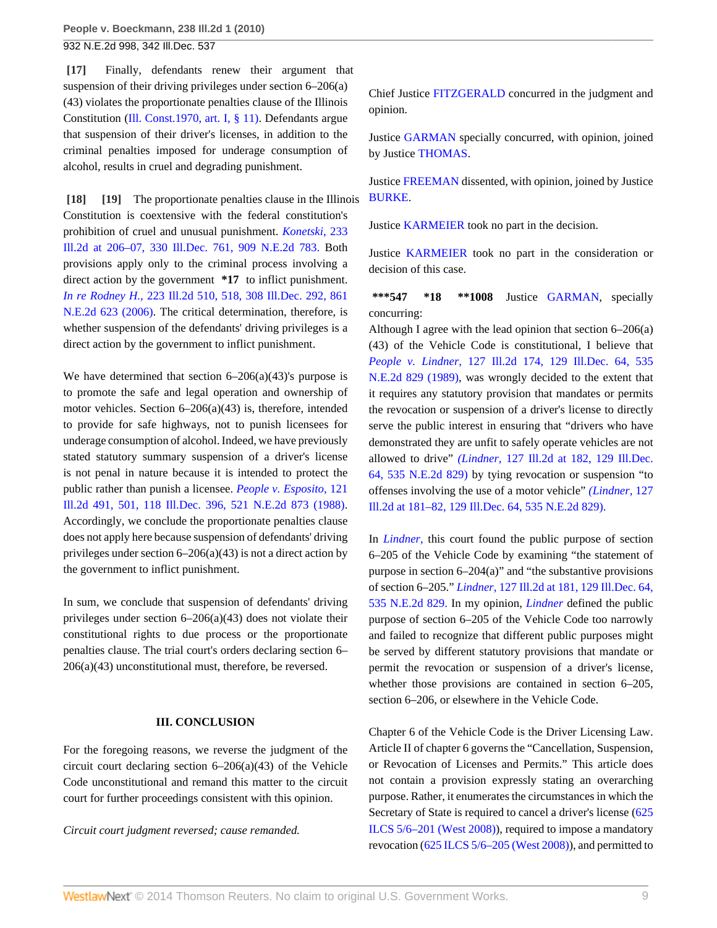<span id="page-8-0"></span>**[\[17\]](#page-2-1)** Finally, defendants renew their argument that suspension of their driving privileges under section 6–206(a) (43) violates the proportionate penalties clause of the Illinois Constitution ([Ill. Const.1970, art. I, § 11\).](http://www.westlaw.com/Link/Document/FullText?findType=L&pubNum=1000008&cite=ILCNART1S11&originatingDoc=Iced421f97fd311df86c1ad798a0ca1c1&refType=LQ&originationContext=document&vr=3.0&rs=cblt1.0&transitionType=DocumentItem&contextData=(sc.Search)) Defendants argue that suspension of their driver's licenses, in addition to the criminal penalties imposed for underage consumption of alcohol, results in cruel and degrading punishment.

<span id="page-8-2"></span><span id="page-8-1"></span>**[\[18\]](#page-2-4) [\[19\]](#page-2-5)** The proportionate penalties clause in the Illinois Constitution is coextensive with the federal constitution's prohibition of cruel and unusual punishment. *[Konetski,](http://www.westlaw.com/Link/Document/FullText?findType=Y&serNum=2018878636&pubNum=578&originationContext=document&vr=3.0&rs=cblt1.0&transitionType=DocumentItem&contextData=(sc.Search))* 233 [Ill.2d at 206–07, 330 Ill.Dec. 761, 909 N.E.2d 783.](http://www.westlaw.com/Link/Document/FullText?findType=Y&serNum=2018878636&pubNum=578&originationContext=document&vr=3.0&rs=cblt1.0&transitionType=DocumentItem&contextData=(sc.Search)) Both provisions apply only to the criminal process involving a direct action by the government **\*17** to inflict punishment. *In re Rodney H.,* [223 Ill.2d 510, 518, 308 Ill.Dec. 292, 861](http://www.westlaw.com/Link/Document/FullText?findType=Y&serNum=2010955076&pubNum=578&originationContext=document&vr=3.0&rs=cblt1.0&transitionType=DocumentItem&contextData=(sc.Search)) [N.E.2d 623 \(2006\).](http://www.westlaw.com/Link/Document/FullText?findType=Y&serNum=2010955076&pubNum=578&originationContext=document&vr=3.0&rs=cblt1.0&transitionType=DocumentItem&contextData=(sc.Search)) The critical determination, therefore, is whether suspension of the defendants' driving privileges is a direct action by the government to inflict punishment.

We have determined that section  $6-206(a)(43)$ 's purpose is to promote the safe and legal operation and ownership of motor vehicles. Section 6–206(a)(43) is, therefore, intended to provide for safe highways, not to punish licensees for underage consumption of alcohol. Indeed, we have previously stated statutory summary suspension of a driver's license is not penal in nature because it is intended to protect the public rather than punish a licensee. *[People v. Esposito,](http://www.westlaw.com/Link/Document/FullText?findType=Y&serNum=1988039383&pubNum=578&originationContext=document&vr=3.0&rs=cblt1.0&transitionType=DocumentItem&contextData=(sc.Search))* 121 [Ill.2d 491, 501, 118 Ill.Dec. 396, 521 N.E.2d 873 \(1988\)](http://www.westlaw.com/Link/Document/FullText?findType=Y&serNum=1988039383&pubNum=578&originationContext=document&vr=3.0&rs=cblt1.0&transitionType=DocumentItem&contextData=(sc.Search)). Accordingly, we conclude the proportionate penalties clause does not apply here because suspension of defendants' driving privileges under section 6–206(a)(43) is not a direct action by the government to inflict punishment.

In sum, we conclude that suspension of defendants' driving privileges under section 6–206(a)(43) does not violate their constitutional rights to due process or the proportionate penalties clause. The trial court's orders declaring section 6– 206(a)(43) unconstitutional must, therefore, be reversed.

## **III. CONCLUSION**

For the foregoing reasons, we reverse the judgment of the circuit court declaring section 6–206(a)(43) of the Vehicle Code unconstitutional and remand this matter to the circuit court for further proceedings consistent with this opinion.

*Circuit court judgment reversed; cause remanded.*

Chief Justice [FITZGERALD](http://www.westlaw.com/Link/Document/FullText?findType=h&pubNum=176284&cite=0151941601&originatingDoc=Iced421f97fd311df86c1ad798a0ca1c1&refType=RQ&originationContext=document&vr=3.0&rs=cblt1.0&transitionType=DocumentItem&contextData=(sc.Search)) concurred in the judgment and opinion.

Justice [GARMAN](http://www.westlaw.com/Link/Document/FullText?findType=h&pubNum=176284&cite=0178022401&originatingDoc=Iced421f97fd311df86c1ad798a0ca1c1&refType=RQ&originationContext=document&vr=3.0&rs=cblt1.0&transitionType=DocumentItem&contextData=(sc.Search)) specially concurred, with opinion, joined by Justice [THOMAS](http://www.westlaw.com/Link/Document/FullText?findType=h&pubNum=176284&cite=0125243001&originatingDoc=Iced421f97fd311df86c1ad798a0ca1c1&refType=RQ&originationContext=document&vr=3.0&rs=cblt1.0&transitionType=DocumentItem&contextData=(sc.Search)).

Justice [FREEMAN](http://www.westlaw.com/Link/Document/FullText?findType=h&pubNum=176284&cite=0233843301&originatingDoc=Iced421f97fd311df86c1ad798a0ca1c1&refType=RQ&originationContext=document&vr=3.0&rs=cblt1.0&transitionType=DocumentItem&contextData=(sc.Search)) dissented, with opinion, joined by Justice [BURKE.](http://www.westlaw.com/Link/Document/FullText?findType=h&pubNum=176284&cite=0163215401&originatingDoc=Iced421f97fd311df86c1ad798a0ca1c1&refType=RQ&originationContext=document&vr=3.0&rs=cblt1.0&transitionType=DocumentItem&contextData=(sc.Search))

Justice [KARMEIER](http://www.westlaw.com/Link/Document/FullText?findType=h&pubNum=176284&cite=0232185301&originatingDoc=Iced421f97fd311df86c1ad798a0ca1c1&refType=RQ&originationContext=document&vr=3.0&rs=cblt1.0&transitionType=DocumentItem&contextData=(sc.Search)) took no part in the decision.

Justice [KARMEIER](http://www.westlaw.com/Link/Document/FullText?findType=h&pubNum=176284&cite=0232185301&originatingDoc=Iced421f97fd311df86c1ad798a0ca1c1&refType=RQ&originationContext=document&vr=3.0&rs=cblt1.0&transitionType=DocumentItem&contextData=(sc.Search)) took no part in the consideration or decision of this case.

**\*\*\*547 \*18 \*\*1008** Justice [GARMAN,](http://www.westlaw.com/Link/Document/FullText?findType=h&pubNum=176284&cite=0178022401&originatingDoc=Iced421f97fd311df86c1ad798a0ca1c1&refType=RQ&originationContext=document&vr=3.0&rs=cblt1.0&transitionType=DocumentItem&contextData=(sc.Search)) specially concurring:

Although I agree with the lead opinion that section 6–206(a) (43) of the Vehicle Code is constitutional, I believe that *People v. Lindner,* [127 Ill.2d 174, 129 Ill.Dec. 64, 535](http://www.westlaw.com/Link/Document/FullText?findType=Y&serNum=1989027957&pubNum=578&originationContext=document&vr=3.0&rs=cblt1.0&transitionType=DocumentItem&contextData=(sc.Search)) [N.E.2d 829 \(1989\),](http://www.westlaw.com/Link/Document/FullText?findType=Y&serNum=1989027957&pubNum=578&originationContext=document&vr=3.0&rs=cblt1.0&transitionType=DocumentItem&contextData=(sc.Search)) was wrongly decided to the extent that it requires any statutory provision that mandates or permits the revocation or suspension of a driver's license to directly serve the public interest in ensuring that "drivers who have demonstrated they are unfit to safely operate vehicles are not allowed to drive" *(Lindner,* [127 Ill.2d at 182, 129 Ill.Dec.](http://www.westlaw.com/Link/Document/FullText?findType=Y&serNum=1989027957&pubNum=578&originationContext=document&vr=3.0&rs=cblt1.0&transitionType=DocumentItem&contextData=(sc.Search)) [64, 535 N.E.2d 829\)](http://www.westlaw.com/Link/Document/FullText?findType=Y&serNum=1989027957&pubNum=578&originationContext=document&vr=3.0&rs=cblt1.0&transitionType=DocumentItem&contextData=(sc.Search)) by tying revocation or suspension "to offenses involving the use of a motor vehicle" *[\(Lindner,](http://www.westlaw.com/Link/Document/FullText?findType=Y&serNum=1989027957&pubNum=578&originationContext=document&vr=3.0&rs=cblt1.0&transitionType=DocumentItem&contextData=(sc.Search))* 127 [Ill.2d at 181–82, 129 Ill.Dec. 64, 535 N.E.2d 829\).](http://www.westlaw.com/Link/Document/FullText?findType=Y&serNum=1989027957&pubNum=578&originationContext=document&vr=3.0&rs=cblt1.0&transitionType=DocumentItem&contextData=(sc.Search))

In *[Lindner,](http://www.westlaw.com/Link/Document/FullText?findType=Y&serNum=1989027957&originationContext=document&vr=3.0&rs=cblt1.0&transitionType=DocumentItem&contextData=(sc.Search))* this court found the public purpose of section 6–205 of the Vehicle Code by examining "the statement of purpose in section 6–204(a)" and "the substantive provisions of section 6–205." *Lindner,* [127 Ill.2d at 181, 129 Ill.Dec. 64,](http://www.westlaw.com/Link/Document/FullText?findType=Y&serNum=1989027957&pubNum=578&originationContext=document&vr=3.0&rs=cblt1.0&transitionType=DocumentItem&contextData=(sc.Search)) [535 N.E.2d 829.](http://www.westlaw.com/Link/Document/FullText?findType=Y&serNum=1989027957&pubNum=578&originationContext=document&vr=3.0&rs=cblt1.0&transitionType=DocumentItem&contextData=(sc.Search)) In my opinion, *[Lindner](http://www.westlaw.com/Link/Document/FullText?findType=Y&serNum=1989027957&originationContext=document&vr=3.0&rs=cblt1.0&transitionType=DocumentItem&contextData=(sc.Search))* defined the public purpose of section 6–205 of the Vehicle Code too narrowly and failed to recognize that different public purposes might be served by different statutory provisions that mandate or permit the revocation or suspension of a driver's license, whether those provisions are contained in section 6–205, section 6–206, or elsewhere in the Vehicle Code.

Chapter 6 of the Vehicle Code is the Driver Licensing Law. Article II of chapter 6 governs the "Cancellation, Suspension, or Revocation of Licenses and Permits." This article does not contain a provision expressly stating an overarching purpose. Rather, it enumerates the circumstances in which the Secretary of State is required to cancel a driver's license [\(625](http://www.westlaw.com/Link/Document/FullText?findType=L&pubNum=1000008&cite=IL625S5%2f6-201&originatingDoc=Iced421f97fd311df86c1ad798a0ca1c1&refType=LQ&originationContext=document&vr=3.0&rs=cblt1.0&transitionType=DocumentItem&contextData=(sc.Search)) [ILCS 5/6–201 \(West 2008\)\)](http://www.westlaw.com/Link/Document/FullText?findType=L&pubNum=1000008&cite=IL625S5%2f6-201&originatingDoc=Iced421f97fd311df86c1ad798a0ca1c1&refType=LQ&originationContext=document&vr=3.0&rs=cblt1.0&transitionType=DocumentItem&contextData=(sc.Search)), required to impose a mandatory revocation [\(625 ILCS 5/6–205 \(West 2008\)](http://www.westlaw.com/Link/Document/FullText?findType=L&pubNum=1000008&cite=IL625S5%2f6-205&originatingDoc=Iced421f97fd311df86c1ad798a0ca1c1&refType=LQ&originationContext=document&vr=3.0&rs=cblt1.0&transitionType=DocumentItem&contextData=(sc.Search))), and permitted to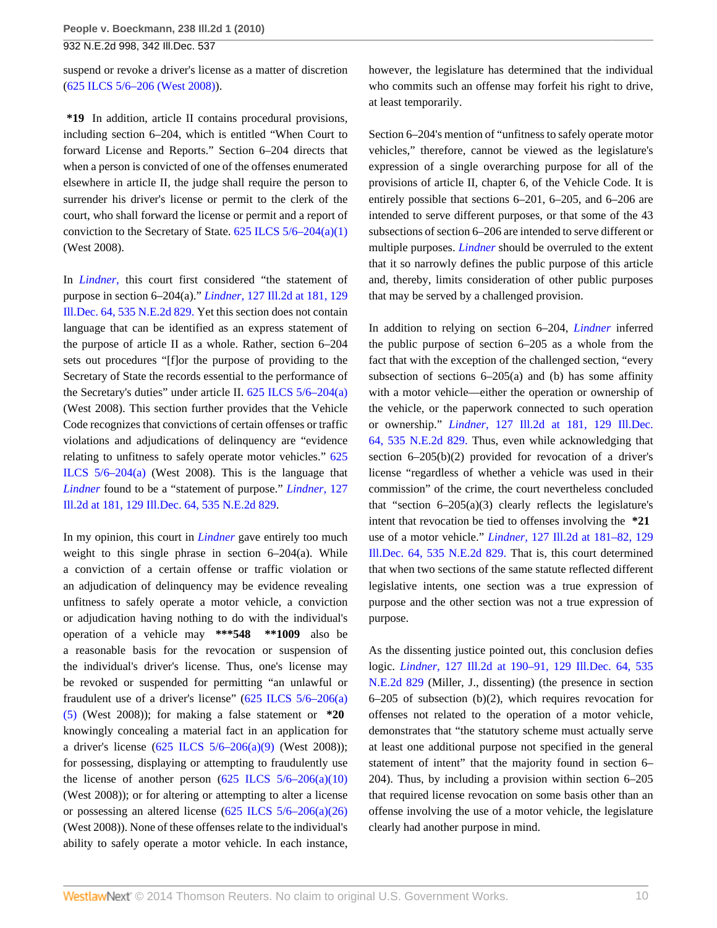suspend or revoke a driver's license as a matter of discretion [\(625 ILCS 5/6–206 \(West 2008\)\)](http://www.westlaw.com/Link/Document/FullText?findType=L&pubNum=1000008&cite=IL625S5%2f6-206&originatingDoc=Iced421f97fd311df86c1ad798a0ca1c1&refType=LQ&originationContext=document&vr=3.0&rs=cblt1.0&transitionType=DocumentItem&contextData=(sc.Search)).

**\*19** In addition, article II contains procedural provisions, including section 6–204, which is entitled "When Court to forward License and Reports." Section 6–204 directs that when a person is convicted of one of the offenses enumerated elsewhere in article II, the judge shall require the person to surrender his driver's license or permit to the clerk of the court, who shall forward the license or permit and a report of conviction to the Secretary of State. [625 ILCS 5/6–204\(a\)\(1\)](http://www.westlaw.com/Link/Document/FullText?findType=L&pubNum=1000008&cite=IL625S5%2f6-204&originatingDoc=Iced421f97fd311df86c1ad798a0ca1c1&refType=SP&originationContext=document&vr=3.0&rs=cblt1.0&transitionType=DocumentItem&contextData=(sc.Search)#co_pp_7b9b000044381) (West 2008).

In *[Lindner,](http://www.westlaw.com/Link/Document/FullText?findType=Y&serNum=1989027957&originationContext=document&vr=3.0&rs=cblt1.0&transitionType=DocumentItem&contextData=(sc.Search))* this court first considered "the statement of purpose in section 6–204(a)." *Lindner,* [127 Ill.2d at 181, 129](http://www.westlaw.com/Link/Document/FullText?findType=Y&serNum=1989027957&pubNum=578&originationContext=document&vr=3.0&rs=cblt1.0&transitionType=DocumentItem&contextData=(sc.Search)) [Ill.Dec. 64, 535 N.E.2d 829.](http://www.westlaw.com/Link/Document/FullText?findType=Y&serNum=1989027957&pubNum=578&originationContext=document&vr=3.0&rs=cblt1.0&transitionType=DocumentItem&contextData=(sc.Search)) Yet this section does not contain language that can be identified as an express statement of the purpose of article II as a whole. Rather, section 6–204 sets out procedures "[f]or the purpose of providing to the Secretary of State the records essential to the performance of the Secretary's duties" under article II. [625 ILCS 5/6–204\(a\)](http://www.westlaw.com/Link/Document/FullText?findType=L&pubNum=1000008&cite=IL625S5%2f6-204&originatingDoc=Iced421f97fd311df86c1ad798a0ca1c1&refType=SP&originationContext=document&vr=3.0&rs=cblt1.0&transitionType=DocumentItem&contextData=(sc.Search)#co_pp_8b3b0000958a4) (West 2008). This section further provides that the Vehicle Code recognizes that convictions of certain offenses or traffic violations and adjudications of delinquency are "evidence relating to unfitness to safely operate motor vehicles." [625](http://www.westlaw.com/Link/Document/FullText?findType=L&pubNum=1000008&cite=IL625S5%2f6-204&originatingDoc=Iced421f97fd311df86c1ad798a0ca1c1&refType=SP&originationContext=document&vr=3.0&rs=cblt1.0&transitionType=DocumentItem&contextData=(sc.Search)#co_pp_8b3b0000958a4) ILCS  $5/6-204(a)$  (West 2008). This is the language that *[Lindner](http://www.westlaw.com/Link/Document/FullText?findType=Y&serNum=1989027957&originationContext=document&vr=3.0&rs=cblt1.0&transitionType=DocumentItem&contextData=(sc.Search))* found to be a "statement of purpose." *[Lindner,](http://www.westlaw.com/Link/Document/FullText?findType=Y&serNum=1989027957&pubNum=578&originationContext=document&vr=3.0&rs=cblt1.0&transitionType=DocumentItem&contextData=(sc.Search))* 127 [Ill.2d at 181, 129 Ill.Dec. 64, 535 N.E.2d 829.](http://www.westlaw.com/Link/Document/FullText?findType=Y&serNum=1989027957&pubNum=578&originationContext=document&vr=3.0&rs=cblt1.0&transitionType=DocumentItem&contextData=(sc.Search))

In my opinion, this court in *[Lindner](http://www.westlaw.com/Link/Document/FullText?findType=Y&serNum=1989027957&originationContext=document&vr=3.0&rs=cblt1.0&transitionType=DocumentItem&contextData=(sc.Search))* gave entirely too much weight to this single phrase in section 6–204(a). While a conviction of a certain offense or traffic violation or an adjudication of delinquency may be evidence revealing unfitness to safely operate a motor vehicle, a conviction or adjudication having nothing to do with the individual's operation of a vehicle may **\*\*\*548 \*\*1009** also be a reasonable basis for the revocation or suspension of the individual's driver's license. Thus, one's license may be revoked or suspended for permitting "an unlawful or fraudulent use of a driver's license" ([625 ILCS 5/6–206\(a\)](http://www.westlaw.com/Link/Document/FullText?findType=L&pubNum=1000008&cite=IL625S5%2f6-206&originatingDoc=Iced421f97fd311df86c1ad798a0ca1c1&refType=SP&originationContext=document&vr=3.0&rs=cblt1.0&transitionType=DocumentItem&contextData=(sc.Search)#co_pp_8b3b0000958a4) [\(5\)](http://www.westlaw.com/Link/Document/FullText?findType=L&pubNum=1000008&cite=IL625S5%2f6-206&originatingDoc=Iced421f97fd311df86c1ad798a0ca1c1&refType=SP&originationContext=document&vr=3.0&rs=cblt1.0&transitionType=DocumentItem&contextData=(sc.Search)#co_pp_8b3b0000958a4) (West 2008)); for making a false statement or **\*20** knowingly concealing a material fact in an application for a driver's license  $(625$  ILCS  $5/6-206(a)(9)$  (West 2008)); for possessing, displaying or attempting to fraudulently use the license of another person  $(625 \text{ ILCS } 5/6-206(a)(10))$ (West 2008)); or for altering or attempting to alter a license or possessing an altered license [\(625 ILCS 5/6–206\(a\)\(26\)](http://www.westlaw.com/Link/Document/FullText?findType=L&pubNum=1000008&cite=IL625S5%2f6-206&originatingDoc=Iced421f97fd311df86c1ad798a0ca1c1&refType=SP&originationContext=document&vr=3.0&rs=cblt1.0&transitionType=DocumentItem&contextData=(sc.Search)#co_pp_8b3b0000958a4) (West 2008)). None of these offenses relate to the individual's ability to safely operate a motor vehicle. In each instance,

however, the legislature has determined that the individual who commits such an offense may forfeit his right to drive, at least temporarily.

Section 6–204's mention of "unfitness to safely operate motor vehicles," therefore, cannot be viewed as the legislature's expression of a single overarching purpose for all of the provisions of article II, chapter 6, of the Vehicle Code. It is entirely possible that sections 6–201, 6–205, and 6–206 are intended to serve different purposes, or that some of the 43 subsections of section 6–206 are intended to serve different or multiple purposes. *[Lindner](http://www.westlaw.com/Link/Document/FullText?findType=Y&serNum=1989027957&originationContext=document&vr=3.0&rs=cblt1.0&transitionType=DocumentItem&contextData=(sc.Search))* should be overruled to the extent that it so narrowly defines the public purpose of this article and, thereby, limits consideration of other public purposes that may be served by a challenged provision.

In addition to relying on section 6–204, *[Lindner](http://www.westlaw.com/Link/Document/FullText?findType=Y&serNum=1989027957&originationContext=document&vr=3.0&rs=cblt1.0&transitionType=DocumentItem&contextData=(sc.Search))* inferred the public purpose of section 6–205 as a whole from the fact that with the exception of the challenged section, "every subsection of sections  $6-205(a)$  and (b) has some affinity with a motor vehicle—either the operation or ownership of the vehicle, or the paperwork connected to such operation or ownership." *Lindner,* [127 Ill.2d at 181, 129 Ill.Dec.](http://www.westlaw.com/Link/Document/FullText?findType=Y&serNum=1989027957&pubNum=578&originationContext=document&vr=3.0&rs=cblt1.0&transitionType=DocumentItem&contextData=(sc.Search)) [64, 535 N.E.2d 829.](http://www.westlaw.com/Link/Document/FullText?findType=Y&serNum=1989027957&pubNum=578&originationContext=document&vr=3.0&rs=cblt1.0&transitionType=DocumentItem&contextData=(sc.Search)) Thus, even while acknowledging that section 6–205(b)(2) provided for revocation of a driver's license "regardless of whether a vehicle was used in their commission" of the crime, the court nevertheless concluded that "section  $6-205(a)(3)$  clearly reflects the legislature's intent that revocation be tied to offenses involving the **\*21** use of a motor vehicle." *Lindner,* [127 Ill.2d at 181–82, 129](http://www.westlaw.com/Link/Document/FullText?findType=Y&serNum=1989027957&pubNum=578&originationContext=document&vr=3.0&rs=cblt1.0&transitionType=DocumentItem&contextData=(sc.Search)) [Ill.Dec. 64, 535 N.E.2d 829.](http://www.westlaw.com/Link/Document/FullText?findType=Y&serNum=1989027957&pubNum=578&originationContext=document&vr=3.0&rs=cblt1.0&transitionType=DocumentItem&contextData=(sc.Search)) That is, this court determined that when two sections of the same statute reflected different legislative intents, one section was a true expression of purpose and the other section was not a true expression of purpose.

As the dissenting justice pointed out, this conclusion defies logic. *Lindner,* [127 Ill.2d at 190–91, 129 Ill.Dec. 64, 535](http://www.westlaw.com/Link/Document/FullText?findType=Y&serNum=1989027957&pubNum=578&originationContext=document&vr=3.0&rs=cblt1.0&transitionType=DocumentItem&contextData=(sc.Search)) [N.E.2d 829](http://www.westlaw.com/Link/Document/FullText?findType=Y&serNum=1989027957&pubNum=578&originationContext=document&vr=3.0&rs=cblt1.0&transitionType=DocumentItem&contextData=(sc.Search)) (Miller, J., dissenting) (the presence in section 6–205 of subsection (b)(2), which requires revocation for offenses not related to the operation of a motor vehicle, demonstrates that "the statutory scheme must actually serve at least one additional purpose not specified in the general statement of intent" that the majority found in section 6– 204). Thus, by including a provision within section 6–205 that required license revocation on some basis other than an offense involving the use of a motor vehicle, the legislature clearly had another purpose in mind.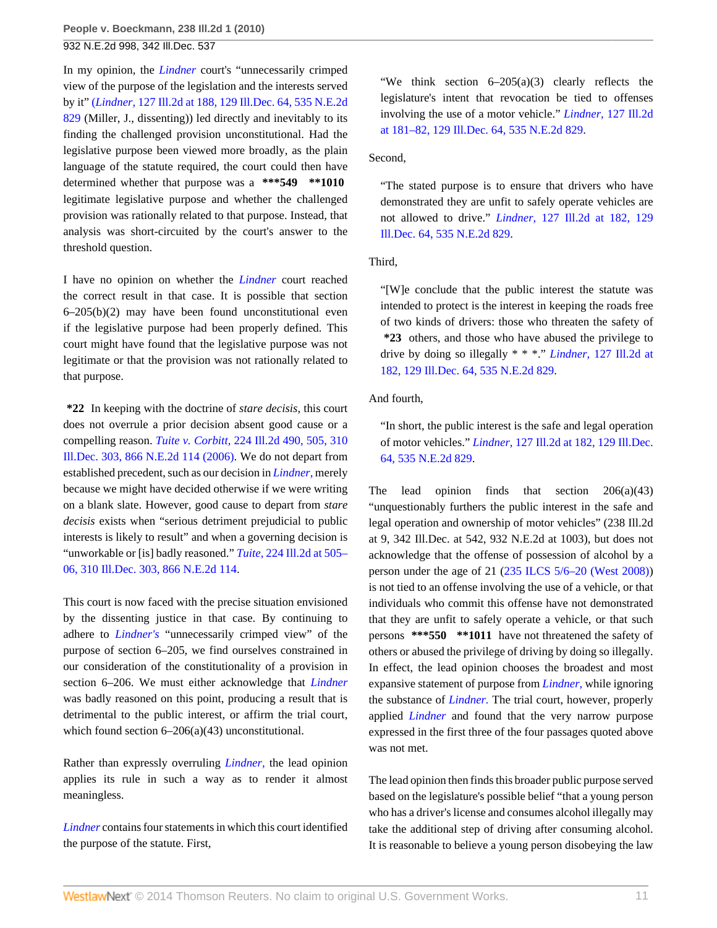In my opinion, the *[Lindner](http://www.westlaw.com/Link/Document/FullText?findType=Y&serNum=1989027957&originationContext=document&vr=3.0&rs=cblt1.0&transitionType=DocumentItem&contextData=(sc.Search))* court's "unnecessarily crimped view of the purpose of the legislation and the interests served by it" (*Lindner,* [127 Ill.2d at 188, 129 Ill.Dec. 64, 535 N.E.2d](http://www.westlaw.com/Link/Document/FullText?findType=Y&serNum=1989027957&pubNum=578&originationContext=document&vr=3.0&rs=cblt1.0&transitionType=DocumentItem&contextData=(sc.Search)) [829](http://www.westlaw.com/Link/Document/FullText?findType=Y&serNum=1989027957&pubNum=578&originationContext=document&vr=3.0&rs=cblt1.0&transitionType=DocumentItem&contextData=(sc.Search)) (Miller, J., dissenting)) led directly and inevitably to its finding the challenged provision unconstitutional. Had the legislative purpose been viewed more broadly, as the plain language of the statute required, the court could then have determined whether that purpose was a **\*\*\*549 \*\*1010** legitimate legislative purpose and whether the challenged provision was rationally related to that purpose. Instead, that analysis was short-circuited by the court's answer to the threshold question.

I have no opinion on whether the *[Lindner](http://www.westlaw.com/Link/Document/FullText?findType=Y&serNum=1989027957&originationContext=document&vr=3.0&rs=cblt1.0&transitionType=DocumentItem&contextData=(sc.Search))* court reached the correct result in that case. It is possible that section  $6-205(b)(2)$  may have been found unconstitutional even if the legislative purpose had been properly defined. This court might have found that the legislative purpose was not legitimate or that the provision was not rationally related to that purpose.

**\*22** In keeping with the doctrine of *stare decisis,* this court does not overrule a prior decision absent good cause or a compelling reason. *Tuite v. Corbitt,* [224 Ill.2d 490, 505, 310](http://www.westlaw.com/Link/Document/FullText?findType=Y&serNum=2010955099&pubNum=578&originationContext=document&vr=3.0&rs=cblt1.0&transitionType=DocumentItem&contextData=(sc.Search)) [Ill.Dec. 303, 866 N.E.2d 114 \(2006\).](http://www.westlaw.com/Link/Document/FullText?findType=Y&serNum=2010955099&pubNum=578&originationContext=document&vr=3.0&rs=cblt1.0&transitionType=DocumentItem&contextData=(sc.Search)) We do not depart from established precedent, such as our decision in *[Lindner,](http://www.westlaw.com/Link/Document/FullText?findType=Y&serNum=1989027957&originationContext=document&vr=3.0&rs=cblt1.0&transitionType=DocumentItem&contextData=(sc.Search))* merely because we might have decided otherwise if we were writing on a blank slate. However, good cause to depart from *stare decisis* exists when "serious detriment prejudicial to public interests is likely to result" and when a governing decision is "unworkable or [is] badly reasoned." *Tuite,* [224 Ill.2d at 505–](http://www.westlaw.com/Link/Document/FullText?findType=Y&serNum=2010955099&pubNum=578&originationContext=document&vr=3.0&rs=cblt1.0&transitionType=DocumentItem&contextData=(sc.Search)) [06, 310 Ill.Dec. 303, 866 N.E.2d 114](http://www.westlaw.com/Link/Document/FullText?findType=Y&serNum=2010955099&pubNum=578&originationContext=document&vr=3.0&rs=cblt1.0&transitionType=DocumentItem&contextData=(sc.Search)).

This court is now faced with the precise situation envisioned by the dissenting justice in that case. By continuing to adhere to *[Lindner's](http://www.westlaw.com/Link/Document/FullText?findType=Y&serNum=1989027957&originationContext=document&vr=3.0&rs=cblt1.0&transitionType=DocumentItem&contextData=(sc.Search))* "unnecessarily crimped view" of the purpose of section 6–205, we find ourselves constrained in our consideration of the constitutionality of a provision in section 6–206. We must either acknowledge that *[Lindner](http://www.westlaw.com/Link/Document/FullText?findType=Y&serNum=1989027957&originationContext=document&vr=3.0&rs=cblt1.0&transitionType=DocumentItem&contextData=(sc.Search))* was badly reasoned on this point, producing a result that is detrimental to the public interest, or affirm the trial court, which found section  $6-206(a)(43)$  unconstitutional.

Rather than expressly overruling *[Lindner,](http://www.westlaw.com/Link/Document/FullText?findType=Y&serNum=1989027957&originationContext=document&vr=3.0&rs=cblt1.0&transitionType=DocumentItem&contextData=(sc.Search))* the lead opinion applies its rule in such a way as to render it almost meaningless.

*[Lindner](http://www.westlaw.com/Link/Document/FullText?findType=Y&serNum=1989027957&originationContext=document&vr=3.0&rs=cblt1.0&transitionType=DocumentItem&contextData=(sc.Search))* contains four statements in which this court identified the purpose of the statute. First,

"We think section  $6-205(a)(3)$  clearly reflects the legislature's intent that revocation be tied to offenses involving the use of a motor vehicle." *Lindner,* [127 Ill.2d](http://www.westlaw.com/Link/Document/FullText?findType=Y&serNum=1989027957&pubNum=578&originationContext=document&vr=3.0&rs=cblt1.0&transitionType=DocumentItem&contextData=(sc.Search)) [at 181–82, 129 Ill.Dec. 64, 535 N.E.2d 829](http://www.westlaw.com/Link/Document/FullText?findType=Y&serNum=1989027957&pubNum=578&originationContext=document&vr=3.0&rs=cblt1.0&transitionType=DocumentItem&contextData=(sc.Search)).

Second,

"The stated purpose is to ensure that drivers who have demonstrated they are unfit to safely operate vehicles are not allowed to drive." *Lindner,* [127 Ill.2d at 182, 129](http://www.westlaw.com/Link/Document/FullText?findType=Y&serNum=1989027957&pubNum=578&originationContext=document&vr=3.0&rs=cblt1.0&transitionType=DocumentItem&contextData=(sc.Search)) [Ill.Dec. 64, 535 N.E.2d 829.](http://www.westlaw.com/Link/Document/FullText?findType=Y&serNum=1989027957&pubNum=578&originationContext=document&vr=3.0&rs=cblt1.0&transitionType=DocumentItem&contextData=(sc.Search))

Third,

"[W]e conclude that the public interest the statute was intended to protect is the interest in keeping the roads free of two kinds of drivers: those who threaten the safety of **\*23** others, and those who have abused the privilege to drive by doing so illegally \* \* \*." *Lindner,* [127 Ill.2d at](http://www.westlaw.com/Link/Document/FullText?findType=Y&serNum=1989027957&pubNum=578&originationContext=document&vr=3.0&rs=cblt1.0&transitionType=DocumentItem&contextData=(sc.Search)) [182, 129 Ill.Dec. 64, 535 N.E.2d 829](http://www.westlaw.com/Link/Document/FullText?findType=Y&serNum=1989027957&pubNum=578&originationContext=document&vr=3.0&rs=cblt1.0&transitionType=DocumentItem&contextData=(sc.Search)).

And fourth,

"In short, the public interest is the safe and legal operation of motor vehicles." *Lindner,* [127 Ill.2d at 182, 129 Ill.Dec.](http://www.westlaw.com/Link/Document/FullText?findType=Y&serNum=1989027957&pubNum=578&originationContext=document&vr=3.0&rs=cblt1.0&transitionType=DocumentItem&contextData=(sc.Search)) [64, 535 N.E.2d 829](http://www.westlaw.com/Link/Document/FullText?findType=Y&serNum=1989027957&pubNum=578&originationContext=document&vr=3.0&rs=cblt1.0&transitionType=DocumentItem&contextData=(sc.Search)).

The lead opinion finds that section  $206(a)(43)$ "unquestionably furthers the public interest in the safe and legal operation and ownership of motor vehicles" (238 Ill.2d at 9, 342 Ill.Dec. at 542, 932 N.E.2d at 1003), but does not acknowledge that the offense of possession of alcohol by a person under the age of 21 ([235 ILCS 5/6–20 \(West 2008\)\)](http://www.westlaw.com/Link/Document/FullText?findType=L&pubNum=1000008&cite=ILSTCH235S5%2f6-20&originatingDoc=Iced421f97fd311df86c1ad798a0ca1c1&refType=LQ&originationContext=document&vr=3.0&rs=cblt1.0&transitionType=DocumentItem&contextData=(sc.Search)) is not tied to an offense involving the use of a vehicle, or that individuals who commit this offense have not demonstrated that they are unfit to safely operate a vehicle, or that such persons **\*\*\*550 \*\*1011** have not threatened the safety of others or abused the privilege of driving by doing so illegally. In effect, the lead opinion chooses the broadest and most expansive statement of purpose from *[Lindner,](http://www.westlaw.com/Link/Document/FullText?findType=Y&serNum=1989027957&originationContext=document&vr=3.0&rs=cblt1.0&transitionType=DocumentItem&contextData=(sc.Search))* while ignoring the substance of *[Lindner.](http://www.westlaw.com/Link/Document/FullText?findType=Y&serNum=1989027957&originationContext=document&vr=3.0&rs=cblt1.0&transitionType=DocumentItem&contextData=(sc.Search))* The trial court, however, properly applied *[Lindner](http://www.westlaw.com/Link/Document/FullText?findType=Y&serNum=1989027957&originationContext=document&vr=3.0&rs=cblt1.0&transitionType=DocumentItem&contextData=(sc.Search))* and found that the very narrow purpose expressed in the first three of the four passages quoted above was not met.

The lead opinion then finds this broader public purpose served based on the legislature's possible belief "that a young person who has a driver's license and consumes alcohol illegally may take the additional step of driving after consuming alcohol. It is reasonable to believe a young person disobeying the law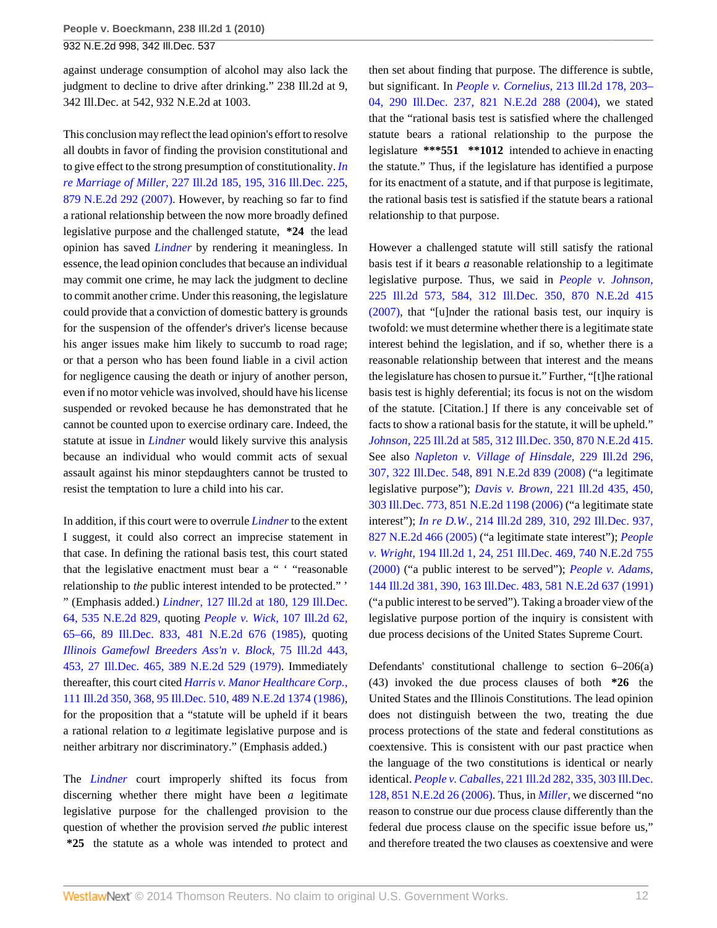against underage consumption of alcohol may also lack the judgment to decline to drive after drinking." 238 Ill.2d at 9, 342 Ill.Dec. at 542, 932 N.E.2d at 1003.

This conclusion may reflect the lead opinion's effort to resolve all doubts in favor of finding the provision constitutional and to give effect to the strong presumption of constitutionality. *[In](http://www.westlaw.com/Link/Document/FullText?findType=Y&serNum=2014214798&pubNum=578&originationContext=document&vr=3.0&rs=cblt1.0&transitionType=DocumentItem&contextData=(sc.Search)) re Marriage of Miller,* [227 Ill.2d 185, 195, 316 Ill.Dec. 225,](http://www.westlaw.com/Link/Document/FullText?findType=Y&serNum=2014214798&pubNum=578&originationContext=document&vr=3.0&rs=cblt1.0&transitionType=DocumentItem&contextData=(sc.Search)) [879 N.E.2d 292 \(2007\)](http://www.westlaw.com/Link/Document/FullText?findType=Y&serNum=2014214798&pubNum=578&originationContext=document&vr=3.0&rs=cblt1.0&transitionType=DocumentItem&contextData=(sc.Search)). However, by reaching so far to find a rational relationship between the now more broadly defined legislative purpose and the challenged statute, **\*24** the lead opinion has saved *[Lindner](http://www.westlaw.com/Link/Document/FullText?findType=Y&serNum=1989027957&originationContext=document&vr=3.0&rs=cblt1.0&transitionType=DocumentItem&contextData=(sc.Search))* by rendering it meaningless. In essence, the lead opinion concludes that because an individual may commit one crime, he may lack the judgment to decline to commit another crime. Under this reasoning, the legislature could provide that a conviction of domestic battery is grounds for the suspension of the offender's driver's license because his anger issues make him likely to succumb to road rage; or that a person who has been found liable in a civil action for negligence causing the death or injury of another person, even if no motor vehicle was involved, should have his license suspended or revoked because he has demonstrated that he cannot be counted upon to exercise ordinary care. Indeed, the statute at issue in *[Lindner](http://www.westlaw.com/Link/Document/FullText?findType=Y&serNum=1989027957&originationContext=document&vr=3.0&rs=cblt1.0&transitionType=DocumentItem&contextData=(sc.Search))* would likely survive this analysis because an individual who would commit acts of sexual assault against his minor stepdaughters cannot be trusted to resist the temptation to lure a child into his car.

In addition, if this court were to overrule *[Lindner](http://www.westlaw.com/Link/Document/FullText?findType=Y&serNum=1989027957&originationContext=document&vr=3.0&rs=cblt1.0&transitionType=DocumentItem&contextData=(sc.Search))* to the extent I suggest, it could also correct an imprecise statement in that case. In defining the rational basis test, this court stated that the legislative enactment must bear a " ' "reasonable relationship to *the* public interest intended to be protected." ' " (Emphasis added.) *Lindner,* [127 Ill.2d at 180, 129 Ill.Dec.](http://www.westlaw.com/Link/Document/FullText?findType=Y&serNum=1989027957&pubNum=578&originationContext=document&vr=3.0&rs=cblt1.0&transitionType=DocumentItem&contextData=(sc.Search)) [64, 535 N.E.2d 829,](http://www.westlaw.com/Link/Document/FullText?findType=Y&serNum=1989027957&pubNum=578&originationContext=document&vr=3.0&rs=cblt1.0&transitionType=DocumentItem&contextData=(sc.Search)) quoting *[People v. Wick,](http://www.westlaw.com/Link/Document/FullText?findType=Y&serNum=1985136697&pubNum=578&originationContext=document&vr=3.0&rs=cblt1.0&transitionType=DocumentItem&contextData=(sc.Search))* 107 Ill.2d 62, [65–66, 89 Ill.Dec. 833, 481 N.E.2d 676 \(1985\),](http://www.westlaw.com/Link/Document/FullText?findType=Y&serNum=1985136697&pubNum=578&originationContext=document&vr=3.0&rs=cblt1.0&transitionType=DocumentItem&contextData=(sc.Search)) quoting *[Illinois Gamefowl Breeders Ass'n v. Block,](http://www.westlaw.com/Link/Document/FullText?findType=Y&serNum=1979135512&pubNum=578&originationContext=document&vr=3.0&rs=cblt1.0&transitionType=DocumentItem&contextData=(sc.Search))* 75 Ill.2d 443, [453, 27 Ill.Dec. 465, 389 N.E.2d 529 \(1979\)](http://www.westlaw.com/Link/Document/FullText?findType=Y&serNum=1979135512&pubNum=578&originationContext=document&vr=3.0&rs=cblt1.0&transitionType=DocumentItem&contextData=(sc.Search)). Immediately thereafter, this court cited *[Harris v. Manor Healthcare Corp.,](http://www.westlaw.com/Link/Document/FullText?findType=Y&serNum=1986109671&pubNum=578&originationContext=document&vr=3.0&rs=cblt1.0&transitionType=DocumentItem&contextData=(sc.Search))* [111 Ill.2d 350, 368, 95 Ill.Dec. 510, 489 N.E.2d 1374 \(1986\)](http://www.westlaw.com/Link/Document/FullText?findType=Y&serNum=1986109671&pubNum=578&originationContext=document&vr=3.0&rs=cblt1.0&transitionType=DocumentItem&contextData=(sc.Search)), for the proposition that a "statute will be upheld if it bears a rational relation to *a* legitimate legislative purpose and is neither arbitrary nor discriminatory." (Emphasis added.)

The *[Lindner](http://www.westlaw.com/Link/Document/FullText?findType=Y&serNum=1989027957&originationContext=document&vr=3.0&rs=cblt1.0&transitionType=DocumentItem&contextData=(sc.Search))* court improperly shifted its focus from discerning whether there might have been *a* legitimate legislative purpose for the challenged provision to the question of whether the provision served *the* public interest **\*25** the statute as a whole was intended to protect and then set about finding that purpose. The difference is subtle, but significant. In *People v. Cornelius,* [213 Ill.2d 178, 203–](http://www.westlaw.com/Link/Document/FullText?findType=Y&serNum=2005658668&pubNum=578&originationContext=document&vr=3.0&rs=cblt1.0&transitionType=DocumentItem&contextData=(sc.Search)) [04, 290 Ill.Dec. 237, 821 N.E.2d 288 \(2004\)](http://www.westlaw.com/Link/Document/FullText?findType=Y&serNum=2005658668&pubNum=578&originationContext=document&vr=3.0&rs=cblt1.0&transitionType=DocumentItem&contextData=(sc.Search)), we stated that the "rational basis test is satisfied where the challenged statute bears a rational relationship to the purpose the legislature **\*\*\*551 \*\*1012** intended to achieve in enacting the statute." Thus, if the legislature has identified a purpose for its enactment of a statute, and if that purpose is legitimate, the rational basis test is satisfied if the statute bears a rational relationship to that purpose.

However a challenged statute will still satisfy the rational basis test if it bears *a* reasonable relationship to a legitimate legislative purpose. Thus, we said in *[People v. Johnson,](http://www.westlaw.com/Link/Document/FullText?findType=Y&serNum=2012342254&pubNum=578&originationContext=document&vr=3.0&rs=cblt1.0&transitionType=DocumentItem&contextData=(sc.Search))* [225 Ill.2d 573, 584, 312 Ill.Dec. 350, 870 N.E.2d 415](http://www.westlaw.com/Link/Document/FullText?findType=Y&serNum=2012342254&pubNum=578&originationContext=document&vr=3.0&rs=cblt1.0&transitionType=DocumentItem&contextData=(sc.Search)) [\(2007\),](http://www.westlaw.com/Link/Document/FullText?findType=Y&serNum=2012342254&pubNum=578&originationContext=document&vr=3.0&rs=cblt1.0&transitionType=DocumentItem&contextData=(sc.Search)) that "[u]nder the rational basis test, our inquiry is twofold: we must determine whether there is a legitimate state interest behind the legislation, and if so, whether there is a reasonable relationship between that interest and the means the legislature has chosen to pursue it." Further, "[t]he rational basis test is highly deferential; its focus is not on the wisdom of the statute. [Citation.] If there is any conceivable set of facts to show a rational basis for the statute, it will be upheld." *Johnson,* [225 Ill.2d at 585, 312 Ill.Dec. 350, 870 N.E.2d 415.](http://www.westlaw.com/Link/Document/FullText?findType=Y&serNum=2012342254&pubNum=578&originationContext=document&vr=3.0&rs=cblt1.0&transitionType=DocumentItem&contextData=(sc.Search)) See also *[Napleton v. Village of Hinsdale,](http://www.westlaw.com/Link/Document/FullText?findType=Y&serNum=2016244038&pubNum=578&originationContext=document&vr=3.0&rs=cblt1.0&transitionType=DocumentItem&contextData=(sc.Search))* 229 Ill.2d 296, [307, 322 Ill.Dec. 548, 891 N.E.2d 839 \(2008\)](http://www.westlaw.com/Link/Document/FullText?findType=Y&serNum=2016244038&pubNum=578&originationContext=document&vr=3.0&rs=cblt1.0&transitionType=DocumentItem&contextData=(sc.Search)) ("a legitimate legislative purpose"); *Davis v. Brown,* [221 Ill.2d 435, 450,](http://www.westlaw.com/Link/Document/FullText?findType=Y&serNum=2009293162&pubNum=578&originationContext=document&vr=3.0&rs=cblt1.0&transitionType=DocumentItem&contextData=(sc.Search)) [303 Ill.Dec. 773, 851 N.E.2d 1198 \(2006\)](http://www.westlaw.com/Link/Document/FullText?findType=Y&serNum=2009293162&pubNum=578&originationContext=document&vr=3.0&rs=cblt1.0&transitionType=DocumentItem&contextData=(sc.Search)) ("a legitimate state interest"); *In re D.W.,* [214 Ill.2d 289, 310, 292 Ill.Dec. 937,](http://www.westlaw.com/Link/Document/FullText?findType=Y&serNum=2006375815&pubNum=578&originationContext=document&vr=3.0&rs=cblt1.0&transitionType=DocumentItem&contextData=(sc.Search)) [827 N.E.2d 466 \(2005\)](http://www.westlaw.com/Link/Document/FullText?findType=Y&serNum=2006375815&pubNum=578&originationContext=document&vr=3.0&rs=cblt1.0&transitionType=DocumentItem&contextData=(sc.Search)) ("a legitimate state interest"); *[People](http://www.westlaw.com/Link/Document/FullText?findType=Y&serNum=2000563880&pubNum=578&originationContext=document&vr=3.0&rs=cblt1.0&transitionType=DocumentItem&contextData=(sc.Search)) v. Wright,* [194 Ill.2d 1, 24, 251 Ill.Dec. 469, 740 N.E.2d 755](http://www.westlaw.com/Link/Document/FullText?findType=Y&serNum=2000563880&pubNum=578&originationContext=document&vr=3.0&rs=cblt1.0&transitionType=DocumentItem&contextData=(sc.Search)) [\(2000\)](http://www.westlaw.com/Link/Document/FullText?findType=Y&serNum=2000563880&pubNum=578&originationContext=document&vr=3.0&rs=cblt1.0&transitionType=DocumentItem&contextData=(sc.Search)) ("a public interest to be served"); *[People v. Adams,](http://www.westlaw.com/Link/Document/FullText?findType=Y&serNum=1991172667&pubNum=578&originationContext=document&vr=3.0&rs=cblt1.0&transitionType=DocumentItem&contextData=(sc.Search))* [144 Ill.2d 381, 390, 163 Ill.Dec. 483, 581 N.E.2d 637 \(1991\)](http://www.westlaw.com/Link/Document/FullText?findType=Y&serNum=1991172667&pubNum=578&originationContext=document&vr=3.0&rs=cblt1.0&transitionType=DocumentItem&contextData=(sc.Search)) ("a public interest to be served"). Taking a broader view of the legislative purpose portion of the inquiry is consistent with due process decisions of the United States Supreme Court.

Defendants' constitutional challenge to section 6–206(a) (43) invoked the due process clauses of both **\*26** the United States and the Illinois Constitutions. The lead opinion does not distinguish between the two, treating the due process protections of the state and federal constitutions as coextensive. This is consistent with our past practice when the language of the two constitutions is identical or nearly identical. *People v. Caballes,* [221 Ill.2d 282, 335, 303 Ill.Dec.](http://www.westlaw.com/Link/Document/FullText?findType=Y&serNum=2009181422&pubNum=578&originationContext=document&vr=3.0&rs=cblt1.0&transitionType=DocumentItem&contextData=(sc.Search)) [128, 851 N.E.2d 26 \(2006\).](http://www.westlaw.com/Link/Document/FullText?findType=Y&serNum=2009181422&pubNum=578&originationContext=document&vr=3.0&rs=cblt1.0&transitionType=DocumentItem&contextData=(sc.Search)) Thus, in *[Miller,](http://www.westlaw.com/Link/Document/FullText?findType=Y&serNum=2014214798&originationContext=document&vr=3.0&rs=cblt1.0&transitionType=DocumentItem&contextData=(sc.Search))* we discerned "no reason to construe our due process clause differently than the federal due process clause on the specific issue before us," and therefore treated the two clauses as coextensive and were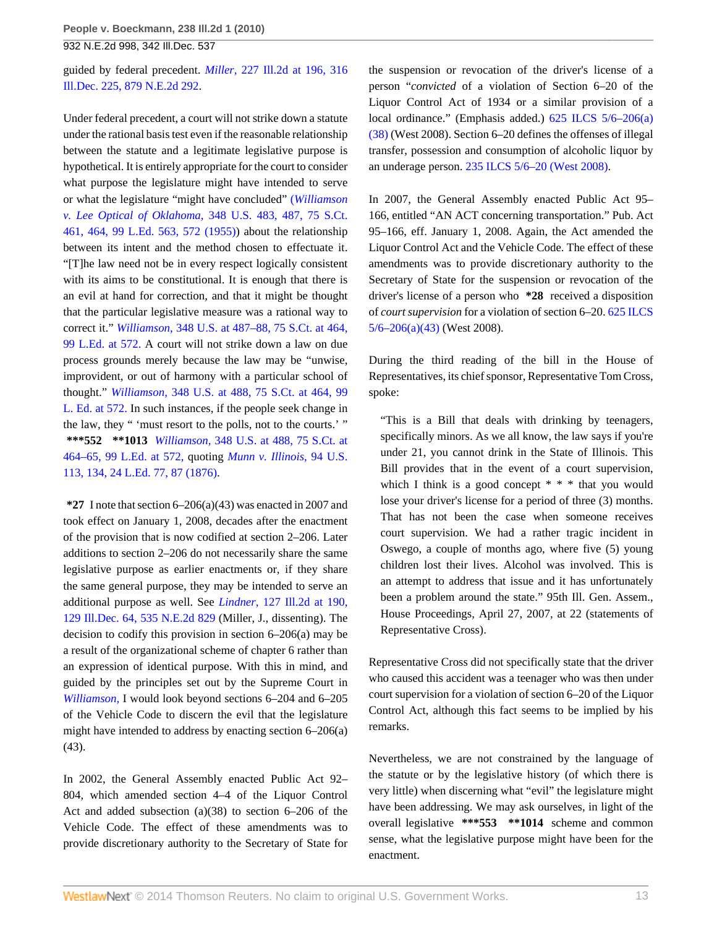guided by federal precedent. *Miller,* [227 Ill.2d at 196, 316](http://www.westlaw.com/Link/Document/FullText?findType=Y&serNum=2014214798&pubNum=578&originationContext=document&vr=3.0&rs=cblt1.0&transitionType=DocumentItem&contextData=(sc.Search)) [Ill.Dec. 225, 879 N.E.2d 292.](http://www.westlaw.com/Link/Document/FullText?findType=Y&serNum=2014214798&pubNum=578&originationContext=document&vr=3.0&rs=cblt1.0&transitionType=DocumentItem&contextData=(sc.Search))

Under federal precedent, a court will not strike down a statute under the rational basis test even if the reasonable relationship between the statute and a legitimate legislative purpose is hypothetical. It is entirely appropriate for the court to consider what purpose the legislature might have intended to serve or what the legislature "might have concluded" (*[Williamson](http://www.westlaw.com/Link/Document/FullText?findType=Y&serNum=1955121924&pubNum=708&fi=co_pp_sp_708_464&originationContext=document&vr=3.0&rs=cblt1.0&transitionType=DocumentItem&contextData=(sc.Search)#co_pp_sp_708_464) v. Lee Optical of Oklahoma,* [348 U.S. 483, 487, 75 S.Ct.](http://www.westlaw.com/Link/Document/FullText?findType=Y&serNum=1955121924&pubNum=708&fi=co_pp_sp_708_464&originationContext=document&vr=3.0&rs=cblt1.0&transitionType=DocumentItem&contextData=(sc.Search)#co_pp_sp_708_464) [461, 464, 99 L.Ed. 563, 572 \(1955\)](http://www.westlaw.com/Link/Document/FullText?findType=Y&serNum=1955121924&pubNum=708&fi=co_pp_sp_708_464&originationContext=document&vr=3.0&rs=cblt1.0&transitionType=DocumentItem&contextData=(sc.Search)#co_pp_sp_708_464)) about the relationship between its intent and the method chosen to effectuate it. "[T]he law need not be in every respect logically consistent with its aims to be constitutional. It is enough that there is an evil at hand for correction, and that it might be thought that the particular legislative measure was a rational way to correct it." *Williamson,* [348 U.S. at 487–88, 75 S.Ct. at 464,](http://www.westlaw.com/Link/Document/FullText?findType=Y&serNum=1955121924&pubNum=708&fi=co_pp_sp_708_464&originationContext=document&vr=3.0&rs=cblt1.0&transitionType=DocumentItem&contextData=(sc.Search)#co_pp_sp_708_464) [99 L.Ed. at 572.](http://www.westlaw.com/Link/Document/FullText?findType=Y&serNum=1955121924&pubNum=708&fi=co_pp_sp_708_464&originationContext=document&vr=3.0&rs=cblt1.0&transitionType=DocumentItem&contextData=(sc.Search)#co_pp_sp_708_464) A court will not strike down a law on due process grounds merely because the law may be "unwise, improvident, or out of harmony with a particular school of thought." *Williamson,* [348 U.S. at 488, 75 S.Ct. at 464, 99](http://www.westlaw.com/Link/Document/FullText?findType=Y&serNum=1955121924&pubNum=708&fi=co_pp_sp_708_464&originationContext=document&vr=3.0&rs=cblt1.0&transitionType=DocumentItem&contextData=(sc.Search)#co_pp_sp_708_464) [L. Ed. at 572.](http://www.westlaw.com/Link/Document/FullText?findType=Y&serNum=1955121924&pubNum=708&fi=co_pp_sp_708_464&originationContext=document&vr=3.0&rs=cblt1.0&transitionType=DocumentItem&contextData=(sc.Search)#co_pp_sp_708_464) In such instances, if the people seek change in the law, they " 'must resort to the polls, not to the courts.' " **\*\*\*552 \*\*1013** *Williamson,* [348 U.S. at 488, 75 S.Ct. at](http://www.westlaw.com/Link/Document/FullText?findType=Y&serNum=1955121924&pubNum=708&fi=co_pp_sp_708_464&originationContext=document&vr=3.0&rs=cblt1.0&transitionType=DocumentItem&contextData=(sc.Search)#co_pp_sp_708_464) [464–65, 99 L.Ed. at 572,](http://www.westlaw.com/Link/Document/FullText?findType=Y&serNum=1955121924&pubNum=708&fi=co_pp_sp_708_464&originationContext=document&vr=3.0&rs=cblt1.0&transitionType=DocumentItem&contextData=(sc.Search)#co_pp_sp_708_464) quoting *[Munn v. Illinois,](http://www.westlaw.com/Link/Document/FullText?findType=Y&serNum=1876155639&pubNum=780&fi=co_pp_sp_780_134&originationContext=document&vr=3.0&rs=cblt1.0&transitionType=DocumentItem&contextData=(sc.Search)#co_pp_sp_780_134)* 94 U.S. [113, 134, 24 L.Ed. 77, 87 \(1876\)](http://www.westlaw.com/Link/Document/FullText?findType=Y&serNum=1876155639&pubNum=780&fi=co_pp_sp_780_134&originationContext=document&vr=3.0&rs=cblt1.0&transitionType=DocumentItem&contextData=(sc.Search)#co_pp_sp_780_134).

**\*27** I note that section 6–206(a)(43) was enacted in 2007 and took effect on January 1, 2008, decades after the enactment of the provision that is now codified at section 2–206. Later additions to section 2–206 do not necessarily share the same legislative purpose as earlier enactments or, if they share the same general purpose, they may be intended to serve an additional purpose as well. See *Lindner,* [127 Ill.2d at 190,](http://www.westlaw.com/Link/Document/FullText?findType=Y&serNum=1989027957&pubNum=578&originationContext=document&vr=3.0&rs=cblt1.0&transitionType=DocumentItem&contextData=(sc.Search)) [129 Ill.Dec. 64, 535 N.E.2d 829](http://www.westlaw.com/Link/Document/FullText?findType=Y&serNum=1989027957&pubNum=578&originationContext=document&vr=3.0&rs=cblt1.0&transitionType=DocumentItem&contextData=(sc.Search)) (Miller, J., dissenting). The decision to codify this provision in section 6–206(a) may be a result of the organizational scheme of chapter 6 rather than an expression of identical purpose. With this in mind, and guided by the principles set out by the Supreme Court in *[Williamson,](http://www.westlaw.com/Link/Document/FullText?findType=Y&serNum=1955121924&originationContext=document&vr=3.0&rs=cblt1.0&transitionType=DocumentItem&contextData=(sc.Search))* I would look beyond sections 6–204 and 6–205 of the Vehicle Code to discern the evil that the legislature might have intended to address by enacting section 6–206(a) (43).

In 2002, the General Assembly enacted Public Act 92– 804, which amended section 4–4 of the Liquor Control Act and added subsection (a)(38) to section 6–206 of the Vehicle Code. The effect of these amendments was to provide discretionary authority to the Secretary of State for the suspension or revocation of the driver's license of a person "*convicted* of a violation of Section 6–20 of the Liquor Control Act of 1934 or a similar provision of a local ordinance." (Emphasis added.) [625 ILCS 5/6–206\(a\)](http://www.westlaw.com/Link/Document/FullText?findType=L&pubNum=1000008&cite=IL625S5%2f6-206&originatingDoc=Iced421f97fd311df86c1ad798a0ca1c1&refType=SP&originationContext=document&vr=3.0&rs=cblt1.0&transitionType=DocumentItem&contextData=(sc.Search)#co_pp_8b3b0000958a4) [\(38\)](http://www.westlaw.com/Link/Document/FullText?findType=L&pubNum=1000008&cite=IL625S5%2f6-206&originatingDoc=Iced421f97fd311df86c1ad798a0ca1c1&refType=SP&originationContext=document&vr=3.0&rs=cblt1.0&transitionType=DocumentItem&contextData=(sc.Search)#co_pp_8b3b0000958a4) (West 2008). Section 6–20 defines the offenses of illegal transfer, possession and consumption of alcoholic liquor by an underage person. [235 ILCS 5/6–20 \(West 2008\)](http://www.westlaw.com/Link/Document/FullText?findType=L&pubNum=1000008&cite=ILSTCH235S5%2f6-20&originatingDoc=Iced421f97fd311df86c1ad798a0ca1c1&refType=LQ&originationContext=document&vr=3.0&rs=cblt1.0&transitionType=DocumentItem&contextData=(sc.Search)).

In 2007, the General Assembly enacted Public Act 95– 166, entitled "AN ACT concerning transportation." Pub. Act 95–166, eff. January 1, 2008. Again, the Act amended the Liquor Control Act and the Vehicle Code. The effect of these amendments was to provide discretionary authority to the Secretary of State for the suspension or revocation of the driver's license of a person who **\*28** received a disposition of *court supervision* for a violation of section 6–20. [625 ILCS](http://www.westlaw.com/Link/Document/FullText?findType=L&pubNum=1000008&cite=IL625S5%2f6-206&originatingDoc=Iced421f97fd311df86c1ad798a0ca1c1&refType=SP&originationContext=document&vr=3.0&rs=cblt1.0&transitionType=DocumentItem&contextData=(sc.Search)#co_pp_8b3b0000958a4) [5/6–206\(a\)\(43\)](http://www.westlaw.com/Link/Document/FullText?findType=L&pubNum=1000008&cite=IL625S5%2f6-206&originatingDoc=Iced421f97fd311df86c1ad798a0ca1c1&refType=SP&originationContext=document&vr=3.0&rs=cblt1.0&transitionType=DocumentItem&contextData=(sc.Search)#co_pp_8b3b0000958a4) (West 2008).

During the third reading of the bill in the House of Representatives, its chief sponsor, Representative Tom Cross, spoke:

"This is a Bill that deals with drinking by teenagers, specifically minors. As we all know, the law says if you're under 21, you cannot drink in the State of Illinois. This Bill provides that in the event of a court supervision, which I think is a good concept  $* * *$  that you would lose your driver's license for a period of three (3) months. That has not been the case when someone receives court supervision. We had a rather tragic incident in Oswego, a couple of months ago, where five (5) young children lost their lives. Alcohol was involved. This is an attempt to address that issue and it has unfortunately been a problem around the state." 95th Ill. Gen. Assem., House Proceedings, April 27, 2007, at 22 (statements of Representative Cross).

Representative Cross did not specifically state that the driver who caused this accident was a teenager who was then under court supervision for a violation of section 6–20 of the Liquor Control Act, although this fact seems to be implied by his remarks.

Nevertheless, we are not constrained by the language of the statute or by the legislative history (of which there is very little) when discerning what "evil" the legislature might have been addressing. We may ask ourselves, in light of the overall legislative **\*\*\*553 \*\*1014** scheme and common sense, what the legislative purpose might have been for the enactment.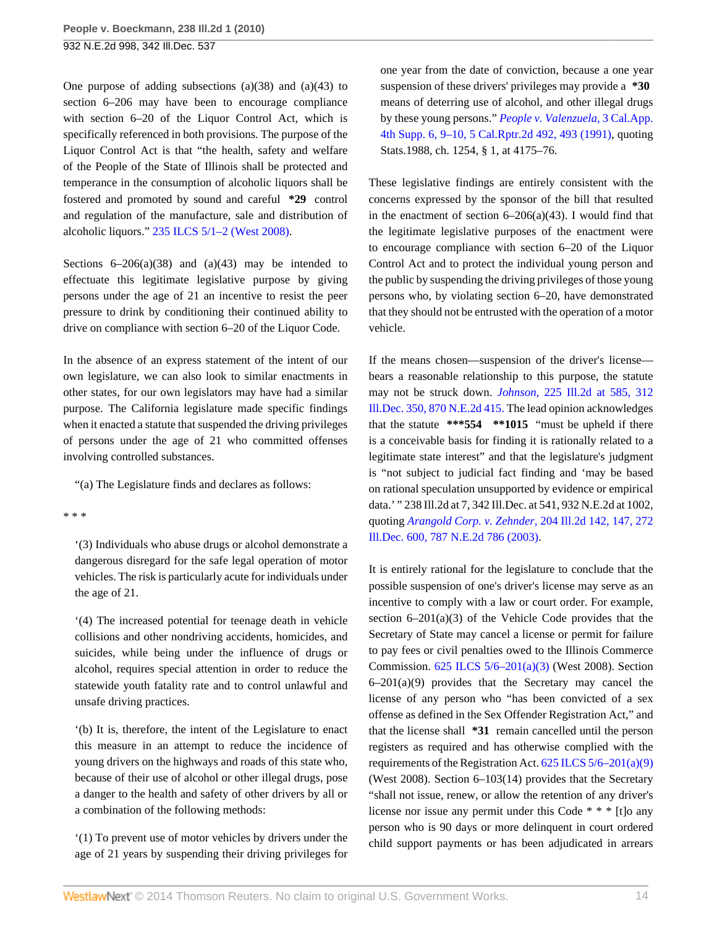One purpose of adding subsections  $(a)(38)$  and  $(a)(43)$  to section 6–206 may have been to encourage compliance with section 6–20 of the Liquor Control Act, which is specifically referenced in both provisions. The purpose of the Liquor Control Act is that "the health, safety and welfare of the People of the State of Illinois shall be protected and temperance in the consumption of alcoholic liquors shall be fostered and promoted by sound and careful **\*29** control and regulation of the manufacture, sale and distribution of alcoholic liquors." [235 ILCS 5/1–2 \(West 2008\)](http://www.westlaw.com/Link/Document/FullText?findType=L&pubNum=1000008&cite=ILSTCH235S5%2f1-2&originatingDoc=Iced421f97fd311df86c1ad798a0ca1c1&refType=LQ&originationContext=document&vr=3.0&rs=cblt1.0&transitionType=DocumentItem&contextData=(sc.Search)).

Sections  $6-206(a)(38)$  and  $(a)(43)$  may be intended to effectuate this legitimate legislative purpose by giving persons under the age of 21 an incentive to resist the peer pressure to drink by conditioning their continued ability to drive on compliance with section 6–20 of the Liquor Code.

In the absence of an express statement of the intent of our own legislature, we can also look to similar enactments in other states, for our own legislators may have had a similar purpose. The California legislature made specific findings when it enacted a statute that suspended the driving privileges of persons under the age of 21 who committed offenses involving controlled substances.

"(a) The Legislature finds and declares as follows:

\* \* \*

'(3) Individuals who abuse drugs or alcohol demonstrate a dangerous disregard for the safe legal operation of motor vehicles. The risk is particularly acute for individuals under the age of 21.

'(4) The increased potential for teenage death in vehicle collisions and other nondriving accidents, homicides, and suicides, while being under the influence of drugs or alcohol, requires special attention in order to reduce the statewide youth fatality rate and to control unlawful and unsafe driving practices.

'(b) It is, therefore, the intent of the Legislature to enact this measure in an attempt to reduce the incidence of young drivers on the highways and roads of this state who, because of their use of alcohol or other illegal drugs, pose a danger to the health and safety of other drivers by all or a combination of the following methods:

'(1) To prevent use of motor vehicles by drivers under the age of 21 years by suspending their driving privileges for

one year from the date of conviction, because a one year suspension of these drivers' privileges may provide a **\*30** means of deterring use of alcohol, and other illegal drugs by these young persons." *[People v. Valenzuela,](http://www.westlaw.com/Link/Document/FullText?findType=Y&serNum=1992052117&pubNum=3484&fi=co_pp_sp_3484_493&originationContext=document&vr=3.0&rs=cblt1.0&transitionType=DocumentItem&contextData=(sc.Search)#co_pp_sp_3484_493)* 3 Cal.App. [4th Supp. 6, 9–10, 5 Cal.Rptr.2d 492, 493 \(1991\)](http://www.westlaw.com/Link/Document/FullText?findType=Y&serNum=1992052117&pubNum=3484&fi=co_pp_sp_3484_493&originationContext=document&vr=3.0&rs=cblt1.0&transitionType=DocumentItem&contextData=(sc.Search)#co_pp_sp_3484_493), quoting Stats.1988, ch. 1254, § 1, at 4175–76.

These legislative findings are entirely consistent with the concerns expressed by the sponsor of the bill that resulted in the enactment of section  $6-206(a)(43)$ . I would find that the legitimate legislative purposes of the enactment were to encourage compliance with section 6–20 of the Liquor Control Act and to protect the individual young person and the public by suspending the driving privileges of those young persons who, by violating section 6–20, have demonstrated that they should not be entrusted with the operation of a motor vehicle.

If the means chosen—suspension of the driver's license bears a reasonable relationship to this purpose, the statute may not be struck down. *Johnson,* [225 Ill.2d at 585, 312](http://www.westlaw.com/Link/Document/FullText?findType=Y&serNum=2012342254&pubNum=578&originationContext=document&vr=3.0&rs=cblt1.0&transitionType=DocumentItem&contextData=(sc.Search)) [Ill.Dec. 350, 870 N.E.2d 415.](http://www.westlaw.com/Link/Document/FullText?findType=Y&serNum=2012342254&pubNum=578&originationContext=document&vr=3.0&rs=cblt1.0&transitionType=DocumentItem&contextData=(sc.Search)) The lead opinion acknowledges that the statute **\*\*\*554 \*\*1015** "must be upheld if there is a conceivable basis for finding it is rationally related to a legitimate state interest" and that the legislature's judgment is "not subject to judicial fact finding and 'may be based on rational speculation unsupported by evidence or empirical data.' " 238 Ill.2d at 7, 342 Ill.Dec. at 541, 932 N.E.2d at 1002, quoting *[Arangold Corp. v. Zehnder,](http://www.westlaw.com/Link/Document/FullText?findType=Y&serNum=2003233453&pubNum=578&originationContext=document&vr=3.0&rs=cblt1.0&transitionType=DocumentItem&contextData=(sc.Search))* 204 Ill.2d 142, 147, 272 [Ill.Dec. 600, 787 N.E.2d 786 \(2003\).](http://www.westlaw.com/Link/Document/FullText?findType=Y&serNum=2003233453&pubNum=578&originationContext=document&vr=3.0&rs=cblt1.0&transitionType=DocumentItem&contextData=(sc.Search))

It is entirely rational for the legislature to conclude that the possible suspension of one's driver's license may serve as an incentive to comply with a law or court order. For example, section  $6-201(a)(3)$  of the Vehicle Code provides that the Secretary of State may cancel a license or permit for failure to pay fees or civil penalties owed to the Illinois Commerce Commission. [625 ILCS 5/6–201\(a\)\(3\)](http://www.westlaw.com/Link/Document/FullText?findType=L&pubNum=1000008&cite=IL625S5%2f6-201&originatingDoc=Iced421f97fd311df86c1ad798a0ca1c1&refType=SP&originationContext=document&vr=3.0&rs=cblt1.0&transitionType=DocumentItem&contextData=(sc.Search)#co_pp_8b3b0000958a4) (West 2008). Section 6–201(a)(9) provides that the Secretary may cancel the license of any person who "has been convicted of a sex offense as defined in the Sex Offender Registration Act," and that the license shall **\*31** remain cancelled until the person registers as required and has otherwise complied with the requirements of the Registration Act.  $625$  ILCS  $5/6-201(a)(9)$ (West 2008). Section 6–103(14) provides that the Secretary "shall not issue, renew, or allow the retention of any driver's license nor issue any permit under this Code \* \* \* [t]o any person who is 90 days or more delinquent in court ordered child support payments or has been adjudicated in arrears